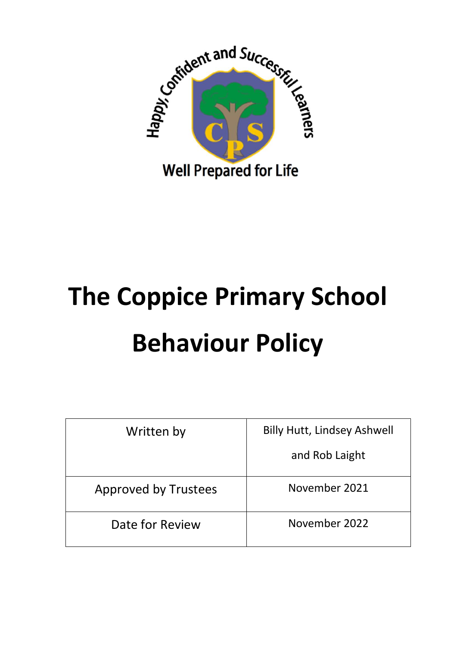

# **The Coppice Primary School Behaviour Policy**

| Written by                  | <b>Billy Hutt, Lindsey Ashwell</b> |
|-----------------------------|------------------------------------|
|                             | and Rob Laight                     |
| <b>Approved by Trustees</b> | November 2021                      |
| Date for Review             | November 2022                      |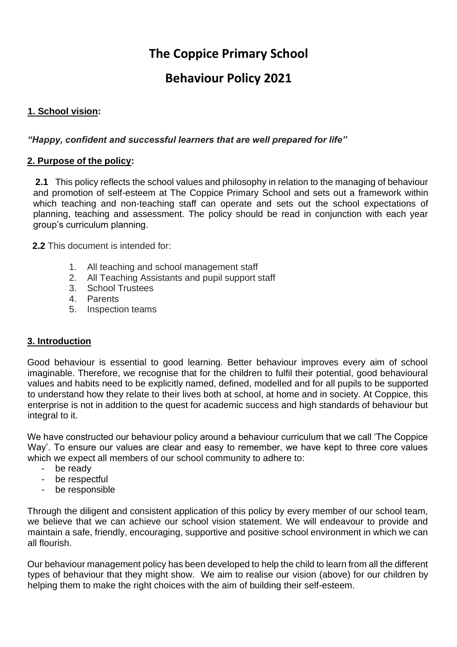# **The Coppice Primary School**

# **Behaviour Policy 2021**

#### **1. School vision:**

#### *"Happy, confident and successful learners that are well prepared for life"*

#### **2. Purpose of the policy:**

**2.1** This policy reflects the school values and philosophy in relation to the managing of behaviour and promotion of self-esteem at The Coppice Primary School and sets out a framework within which teaching and non-teaching staff can operate and sets out the school expectations of planning, teaching and assessment. The policy should be read in conjunction with each year group's curriculum planning.

 **2.2** This document is intended for:

- 1. All teaching and school management staff
- 2. All Teaching Assistants and pupil support staff
- 3. School Trustees
- 4. Parents
- 5. Inspection teams

#### **3. Introduction**

Good behaviour is essential to good learning. Better behaviour improves every aim of school imaginable. Therefore, we recognise that for the children to fulfil their potential, good behavioural values and habits need to be explicitly named, defined, modelled and for all pupils to be supported to understand how they relate to their lives both at school, at home and in society. At Coppice, this enterprise is not in addition to the quest for academic success and high standards of behaviour but integral to it.

We have constructed our behaviour policy around a behaviour curriculum that we call 'The Coppice Way'. To ensure our values are clear and easy to remember, we have kept to three core values which we expect all members of our school community to adhere to:

- be ready
- be respectful
- be responsible

Through the diligent and consistent application of this policy by every member of our school team, we believe that we can achieve our school vision statement. We will endeavour to provide and maintain a safe, friendly, encouraging, supportive and positive school environment in which we can all flourish.

Our behaviour management policy has been developed to help the child to learn from all the different types of behaviour that they might show. We aim to realise our vision (above) for our children by helping them to make the right choices with the aim of building their self-esteem.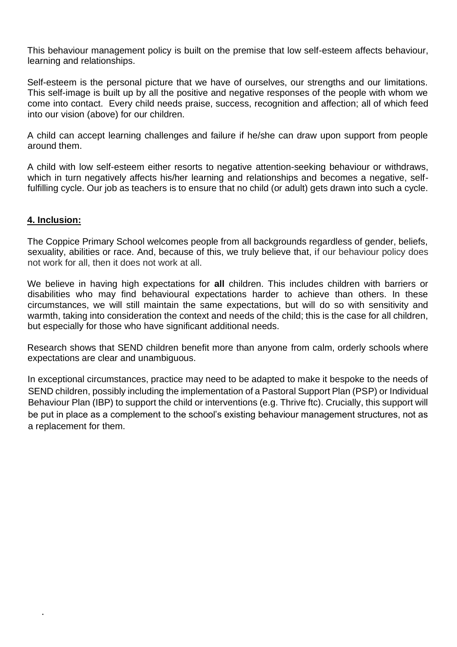This behaviour management policy is built on the premise that low self-esteem affects behaviour, learning and relationships.

Self-esteem is the personal picture that we have of ourselves, our strengths and our limitations. This self-image is built up by all the positive and negative responses of the people with whom we come into contact. Every child needs praise, success, recognition and affection; all of which feed into our vision (above) for our children.

A child can accept learning challenges and failure if he/she can draw upon support from people around them.

A child with low self-esteem either resorts to negative attention-seeking behaviour or withdraws, which in turn negatively affects his/her learning and relationships and becomes a negative, selffulfilling cycle. Our job as teachers is to ensure that no child (or adult) gets drawn into such a cycle.

#### **4. Inclusion:**

•

The Coppice Primary School welcomes people from all backgrounds regardless of gender, beliefs, sexuality, abilities or race. And, because of this, we truly believe that, if our behaviour policy does not work for all, then it does not work at all.

We believe in having high expectations for **all** children. This includes children with barriers or disabilities who may find behavioural expectations harder to achieve than others. In these circumstances, we will still maintain the same expectations, but will do so with sensitivity and warmth, taking into consideration the context and needs of the child; this is the case for all children, but especially for those who have significant additional needs.

Research shows that SEND children benefit more than anyone from calm, orderly schools where expectations are clear and unambiguous.

In exceptional circumstances, practice may need to be adapted to make it bespoke to the needs of SEND children, possibly including the implementation of a Pastoral Support Plan (PSP) or Individual Behaviour Plan (IBP) to support the child or interventions (e.g. Thrive ftc). Crucially, this support will be put in place as a complement to the school's existing behaviour management structures, not as a replacement for them.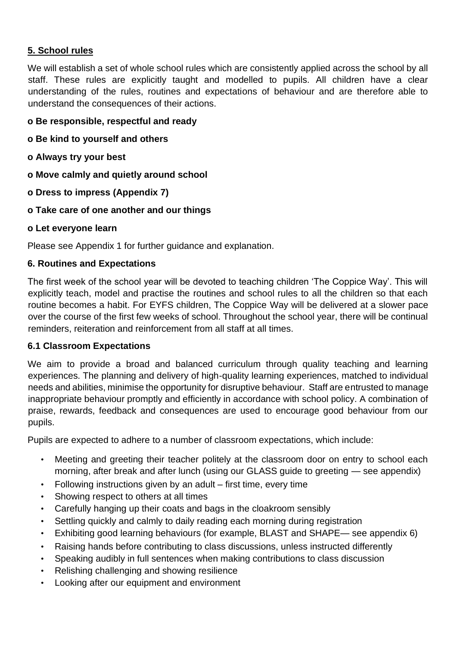## **5. School rules**

We will establish a set of whole school rules which are consistently applied across the school by all staff. These rules are explicitly taught and modelled to pupils. All children have a clear understanding of the rules, routines and expectations of behaviour and are therefore able to understand the consequences of their actions.

#### **o Be responsible, respectful and ready**

- **o Be kind to yourself and others**
- **o Always try your best**
- **o Move calmly and quietly around school**
- **o Dress to impress (Appendix 7)**
- **o Take care of one another and our things**
- **o Let everyone learn**

Please see Appendix 1 for further guidance and explanation.

#### **6. Routines and Expectations**

The first week of the school year will be devoted to teaching children 'The Coppice Way'. This will explicitly teach, model and practise the routines and school rules to all the children so that each routine becomes a habit. For EYFS children, The Coppice Way will be delivered at a slower pace over the course of the first few weeks of school. Throughout the school year, there will be continual reminders, reiteration and reinforcement from all staff at all times.

#### **6.1 Classroom Expectations**

We aim to provide a broad and balanced curriculum through quality teaching and learning experiences. The planning and delivery of high-quality learning experiences, matched to individual needs and abilities, minimise the opportunity for disruptive behaviour. Staff are entrusted to manage inappropriate behaviour promptly and efficiently in accordance with school policy. A combination of praise, rewards, feedback and consequences are used to encourage good behaviour from our pupils.

Pupils are expected to adhere to a number of classroom expectations, which include:

- Meeting and greeting their teacher politely at the classroom door on entry to school each morning, after break and after lunch (using our GLASS guide to greeting — see appendix)
- Following instructions given by an adult first time, every time
- Showing respect to others at all times
- Carefully hanging up their coats and bags in the cloakroom sensibly
- Settling quickly and calmly to daily reading each morning during registration
- Exhibiting good learning behaviours (for example, BLAST and SHAPE— see appendix 6)
- Raising hands before contributing to class discussions, unless instructed differently
- Speaking audibly in full sentences when making contributions to class discussion
- Relishing challenging and showing resilience
- Looking after our equipment and environment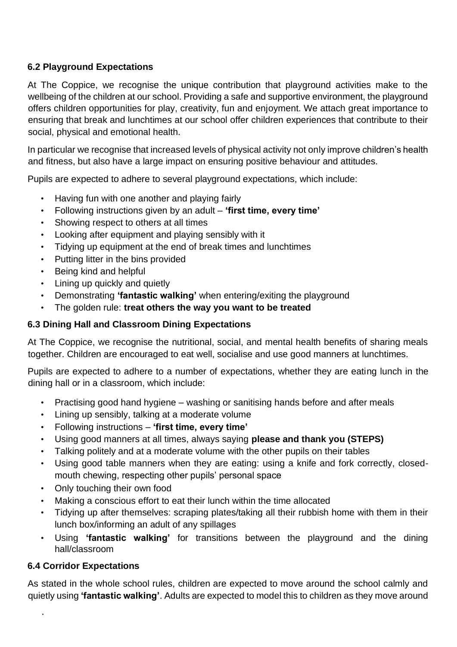## **6.2 Playground Expectations**

At The Coppice, we recognise the unique contribution that playground activities make to the wellbeing of the children at our school. Providing a safe and supportive environment, the playground offers children opportunities for play, creativity, fun and enjoyment. We attach great importance to ensuring that break and lunchtimes at our school offer children experiences that contribute to their social, physical and emotional health.

In particular we recognise that increased levels of physical activity not only improve children's health and fitness, but also have a large impact on ensuring positive behaviour and attitudes.

Pupils are expected to adhere to several playground expectations, which include:

- Having fun with one another and playing fairly
- Following instructions given by an adult **'first time, every time'**
- Showing respect to others at all times
- Looking after equipment and playing sensibly with it
- Tidying up equipment at the end of break times and lunchtimes
- Putting litter in the bins provided
- Being kind and helpful
- Lining up quickly and quietly
- Demonstrating **'fantastic walking'** when entering/exiting the playground
- The golden rule: **treat others the way you want to be treated**

#### **6.3 Dining Hall and Classroom Dining Expectations**

At The Coppice, we recognise the nutritional, social, and mental health benefits of sharing meals together. Children are encouraged to eat well, socialise and use good manners at lunchtimes.

Pupils are expected to adhere to a number of expectations, whether they are eating lunch in the dining hall or in a classroom, which include:

- Practising good hand hygiene washing or sanitising hands before and after meals
- Lining up sensibly, talking at a moderate volume
- Following instructions **'first time, every time'**
- Using good manners at all times, always saying **please and thank you (STEPS)**
- Talking politely and at a moderate volume with the other pupils on their tables
- Using good table manners when they are eating: using a knife and fork correctly, closedmouth chewing, respecting other pupils' personal space
- Only touching their own food
- Making a conscious effort to eat their lunch within the time allocated
- Tidying up after themselves: scraping plates/taking all their rubbish home with them in their lunch box/informing an adult of any spillages
- Using **'fantastic walking'** for transitions between the playground and the dining hall/classroom

## **6.4 Corridor Expectations**

•

As stated in the whole school rules, children are expected to move around the school calmly and quietly using **'fantastic walking'**. Adults are expected to model this to children as they move around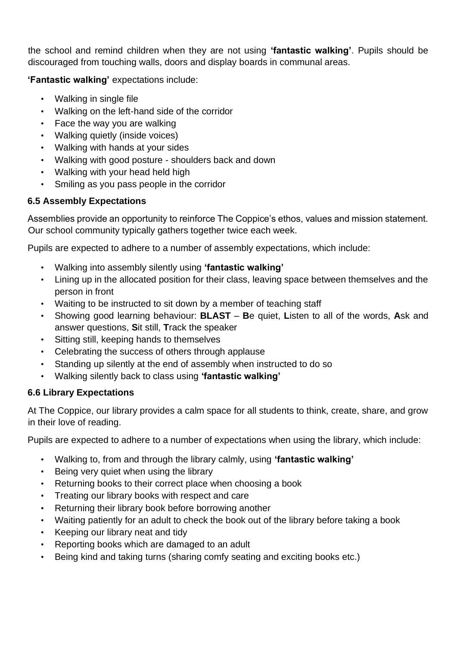the school and remind children when they are not using **'fantastic walking'**. Pupils should be discouraged from touching walls, doors and display boards in communal areas.

## **'Fantastic walking'** expectations include:

- Walking in single file
- Walking on the left-hand side of the corridor
- Face the way you are walking
- Walking quietly (inside voices)
- Walking with hands at your sides
- Walking with good posture shoulders back and down
- Walking with your head held high
- Smiling as you pass people in the corridor

## **6.5 Assembly Expectations**

Assemblies provide an opportunity to reinforce The Coppice's ethos, values and mission statement. Our school community typically gathers together twice each week.

Pupils are expected to adhere to a number of assembly expectations, which include:

- Walking into assembly silently using **'fantastic walking'**
- Lining up in the allocated position for their class, leaving space between themselves and the person in front
- Waiting to be instructed to sit down by a member of teaching staff
- Showing good learning behaviour: **BLAST B**e quiet, **L**isten to all of the words, **A**sk and answer questions, **S**it still, **T**rack the speaker
- Sitting still, keeping hands to themselves
- Celebrating the success of others through applause
- Standing up silently at the end of assembly when instructed to do so
- Walking silently back to class using **'fantastic walking'**

# **6.6 Library Expectations**

At The Coppice, our library provides a calm space for all students to think, create, share, and grow in their love of reading.

Pupils are expected to adhere to a number of expectations when using the library, which include:

- Walking to, from and through the library calmly, using **'fantastic walking'**
- Being very quiet when using the library
- Returning books to their correct place when choosing a book
- Treating our library books with respect and care
- Returning their library book before borrowing another
- Waiting patiently for an adult to check the book out of the library before taking a book
- Keeping our library neat and tidy
- Reporting books which are damaged to an adult
- Being kind and taking turns (sharing comfy seating and exciting books etc.)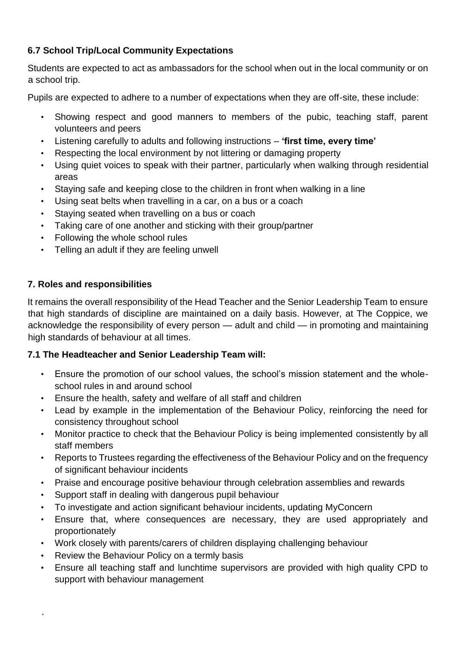# **6.7 School Trip/Local Community Expectations**

Students are expected to act as ambassadors for the school when out in the local community or on a school trip.

Pupils are expected to adhere to a number of expectations when they are off-site, these include:

- Showing respect and good manners to members of the pubic, teaching staff, parent volunteers and peers
- Listening carefully to adults and following instructions **'first time, every time'**
- Respecting the local environment by not littering or damaging property
- Using quiet voices to speak with their partner, particularly when walking through residential areas
- Staying safe and keeping close to the children in front when walking in a line
- Using seat belts when travelling in a car, on a bus or a coach
- Staying seated when travelling on a bus or coach
- Taking care of one another and sticking with their group/partner
- Following the whole school rules
- Telling an adult if they are feeling unwell

#### **7. Roles and responsibilities**

It remains the overall responsibility of the Head Teacher and the Senior Leadership Team to ensure that high standards of discipline are maintained on a daily basis. However, at The Coppice, we acknowledge the responsibility of every person — adult and child — in promoting and maintaining high standards of behaviour at all times.

#### **7.1 The Headteacher and Senior Leadership Team will:**

- Ensure the promotion of our school values, the school's mission statement and the wholeschool rules in and around school
- Ensure the health, safety and welfare of all staff and children
- Lead by example in the implementation of the Behaviour Policy, reinforcing the need for consistency throughout school
- Monitor practice to check that the Behaviour Policy is being implemented consistently by all staff members
- Reports to Trustees regarding the effectiveness of the Behaviour Policy and on the frequency of significant behaviour incidents
- Praise and encourage positive behaviour through celebration assemblies and rewards
- Support staff in dealing with dangerous pupil behaviour
- To investigate and action significant behaviour incidents, updating MyConcern
- Ensure that, where consequences are necessary, they are used appropriately and proportionately
- Work closely with parents/carers of children displaying challenging behaviour
- Review the Behaviour Policy on a termly basis

•

• Ensure all teaching staff and lunchtime supervisors are provided with high quality CPD to support with behaviour management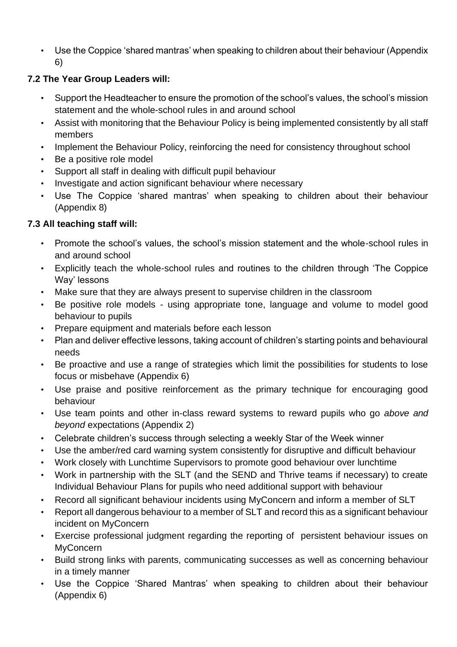• Use the Coppice 'shared mantras' when speaking to children about their behaviour (Appendix 6)

# **7.2 The Year Group Leaders will:**

- Support the Headteacher to ensure the promotion of the school's values, the school's mission statement and the whole-school rules in and around school
- Assist with monitoring that the Behaviour Policy is being implemented consistently by all staff members
- Implement the Behaviour Policy, reinforcing the need for consistency throughout school
- Be a positive role model
- Support all staff in dealing with difficult pupil behaviour
- Investigate and action significant behaviour where necessary
- Use The Coppice 'shared mantras' when speaking to children about their behaviour (Appendix 8)

# **7.3 All teaching staff will:**

- Promote the school's values, the school's mission statement and the whole-school rules in and around school
- Explicitly teach the whole-school rules and routines to the children through 'The Coppice Way' lessons
- Make sure that they are always present to supervise children in the classroom
- Be positive role models using appropriate tone, language and volume to model good behaviour to pupils
- Prepare equipment and materials before each lesson
- Plan and deliver effective lessons, taking account of children's starting points and behavioural needs
- Be proactive and use a range of strategies which limit the possibilities for students to lose focus or misbehave (Appendix 6)
- Use praise and positive reinforcement as the primary technique for encouraging good behaviour
- Use team points and other in-class reward systems to reward pupils who go *above and beyond* expectations (Appendix 2)
- Celebrate children's success through selecting a weekly Star of the Week winner
- Use the amber/red card warning system consistently for disruptive and difficult behaviour
- Work closely with Lunchtime Supervisors to promote good behaviour over lunchtime
- Work in partnership with the SLT (and the SEND and Thrive teams if necessary) to create Individual Behaviour Plans for pupils who need additional support with behaviour
- Record all significant behaviour incidents using MyConcern and inform a member of SLT
- Report all dangerous behaviour to a member of SLT and record this as a significant behaviour incident on MyConcern
- Exercise professional judgment regarding the reporting of persistent behaviour issues on **MyConcern**
- Build strong links with parents, communicating successes as well as concerning behaviour in a timely manner
- Use the Coppice 'Shared Mantras' when speaking to children about their behaviour (Appendix 6)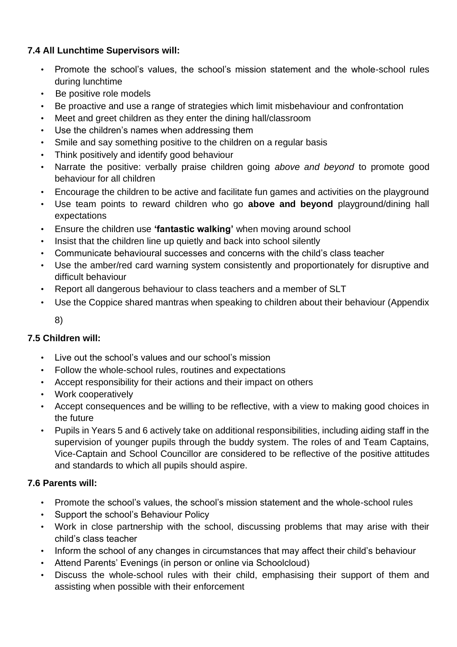## **7.4 All Lunchtime Supervisors will:**

- Promote the school's values, the school's mission statement and the whole-school rules during lunchtime
- Be positive role models
- Be proactive and use a range of strategies which limit misbehaviour and confrontation
- Meet and greet children as they enter the dining hall/classroom
- Use the children's names when addressing them
- Smile and say something positive to the children on a regular basis
- Think positively and identify good behaviour
- Narrate the positive: verbally praise children going *above and beyond* to promote good behaviour for all children
- Encourage the children to be active and facilitate fun games and activities on the playground
- Use team points to reward children who go **above and beyond** playground/dining hall expectations
- Ensure the children use **'fantastic walking'** when moving around school
- Insist that the children line up quietly and back into school silently
- Communicate behavioural successes and concerns with the child's class teacher
- Use the amber/red card warning system consistently and proportionately for disruptive and difficult behaviour
- Report all dangerous behaviour to class teachers and a member of SLT
- Use the Coppice shared mantras when speaking to children about their behaviour (Appendix 8)

## **7.5 Children will:**

- Live out the school's values and our school's mission
- Follow the whole-school rules, routines and expectations
- Accept responsibility for their actions and their impact on others
- Work cooperatively
- Accept consequences and be willing to be reflective, with a view to making good choices in the future
- Pupils in Years 5 and 6 actively take on additional responsibilities, including aiding staff in the supervision of younger pupils through the buddy system. The roles of and Team Captains, Vice-Captain and School Councillor are considered to be reflective of the positive attitudes and standards to which all pupils should aspire.

# **7.6 Parents will:**

- Promote the school's values, the school's mission statement and the whole-school rules
- Support the school's Behaviour Policy
- Work in close partnership with the school, discussing problems that may arise with their child's class teacher
- Inform the school of any changes in circumstances that may affect their child's behaviour
- Attend Parents' Evenings (in person or online via Schoolcloud)
- Discuss the whole-school rules with their child, emphasising their support of them and assisting when possible with their enforcement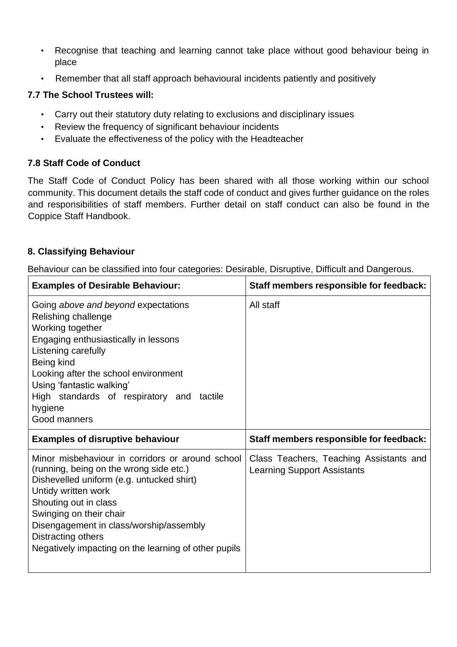- Recognise that teaching and learning cannot take place without good behaviour being in place
- Remember that all staff approach behavioural incidents patiently and positively

#### **7.7 The School Trustees will:**

- Carry out their statutory duty relating to exclusions and disciplinary issues
- Review the frequency of significant behaviour incidents
- Evaluate the effectiveness of the policy with the Headteacher

#### **7.8 Staff Code of Conduct**

The Staff Code of Conduct Policy has been shared with all those working within our school community. This document details the staff code of conduct and gives further guidance on the roles and responsibilities of staff members. Further detail on staff conduct can also be found in the Coppice Staff Handbook.

#### **8. Classifying Behaviour**

Behaviour can be classified into four categories: Desirable, Disruptive, Difficult and Dangerous.

| <b>Examples of Desirable Behaviour:</b>                                                                                                                                                                                                                                                                                                      | Staff members responsible for feedback:                                       |
|----------------------------------------------------------------------------------------------------------------------------------------------------------------------------------------------------------------------------------------------------------------------------------------------------------------------------------------------|-------------------------------------------------------------------------------|
| Going above and beyond expectations<br>Relishing challenge<br>Working together<br>Engaging enthusiastically in lessons<br>Listening carefully<br>Being kind<br>Looking after the school environment<br>Using 'fantastic walking'<br>High standards of respiratory and tactile<br>hygiene<br>Good manners                                     | All staff                                                                     |
| <b>Examples of disruptive behaviour</b>                                                                                                                                                                                                                                                                                                      | Staff members responsible for feedback:                                       |
| Minor misbehaviour in corridors or around school<br>(running, being on the wrong side etc.)<br>Dishevelled uniform (e.g. untucked shirt)<br>Untidy written work<br>Shouting out in class<br>Swinging on their chair<br>Disengagement in class/worship/assembly<br>Distracting others<br>Negatively impacting on the learning of other pupils | Class Teachers, Teaching Assistants and<br><b>Learning Support Assistants</b> |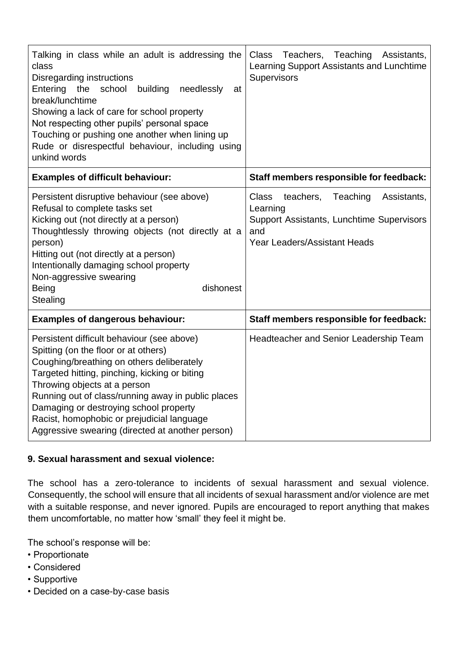| Talking in class while an adult is addressing the<br>class<br>Disregarding instructions<br>Entering<br>school<br>building<br>needlessly<br>the<br>at<br>break/lunchtime<br>Showing a lack of care for school property<br>Not respecting other pupils' personal space<br>Touching or pushing one another when lining up<br>Rude or disrespectful behaviour, including using<br>unkind words                         | Teachers, Teaching Assistants,<br>Class<br>Learning Support Assistants and Lunchtime<br>Supervisors                                                  |
|--------------------------------------------------------------------------------------------------------------------------------------------------------------------------------------------------------------------------------------------------------------------------------------------------------------------------------------------------------------------------------------------------------------------|------------------------------------------------------------------------------------------------------------------------------------------------------|
| <b>Examples of difficult behaviour:</b>                                                                                                                                                                                                                                                                                                                                                                            | Staff members responsible for feedback:                                                                                                              |
| Persistent disruptive behaviour (see above)<br>Refusal to complete tasks set<br>Kicking out (not directly at a person)<br>Thoughtlessly throwing objects (not directly at a<br>person)<br>Hitting out (not directly at a person)<br>Intentionally damaging school property<br>Non-aggressive swearing<br>dishonest<br><b>Being</b><br>Stealing                                                                     | <b>Class</b><br>teachers,<br>Teaching<br>Assistants,<br>Learning<br>Support Assistants, Lunchtime Supervisors<br>and<br>Year Leaders/Assistant Heads |
| <b>Examples of dangerous behaviour:</b>                                                                                                                                                                                                                                                                                                                                                                            | Staff members responsible for feedback:                                                                                                              |
| Persistent difficult behaviour (see above)<br>Spitting (on the floor or at others)<br>Coughing/breathing on others deliberately<br>Targeted hitting, pinching, kicking or biting<br>Throwing objects at a person<br>Running out of class/running away in public places<br>Damaging or destroying school property<br>Racist, homophobic or prejudicial language<br>Aggressive swearing (directed at another person) | Headteacher and Senior Leadership Team                                                                                                               |

#### **9. Sexual harassment and sexual violence:**

The school has a zero-tolerance to incidents of sexual harassment and sexual violence. Consequently, the school will ensure that all incidents of sexual harassment and/or violence are met with a suitable response, and never ignored. Pupils are encouraged to report anything that makes them uncomfortable, no matter how 'small' they feel it might be.

The school's response will be:

- Proportionate
- Considered
- Supportive
- Decided on a case-by-case basis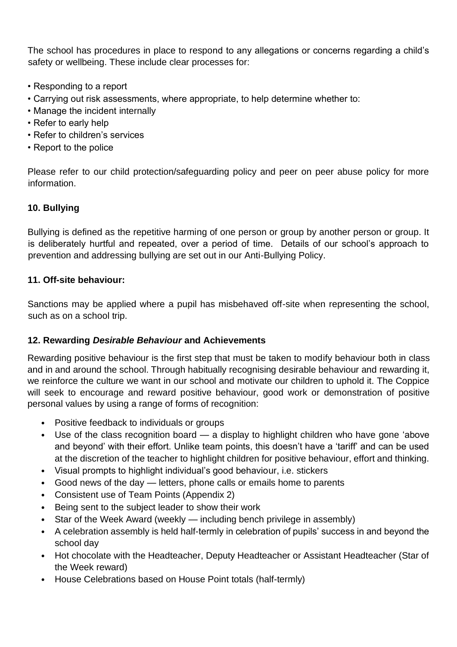The school has procedures in place to respond to any allegations or concerns regarding a child's safety or wellbeing. These include clear processes for:

- Responding to a report
- Carrying out risk assessments, where appropriate, to help determine whether to:
- Manage the incident internally
- Refer to early help
- Refer to children's services
- Report to the police

Please refer to our child protection/safeguarding policy and peer on peer abuse policy for more information.

#### **10. Bullying**

Bullying is defined as the repetitive harming of one person or group by another person or group. It is deliberately hurtful and repeated, over a period of time. Details of our school's approach to prevention and addressing bullying are set out in our Anti-Bullying Policy.

#### **11. Off-site behaviour:**

Sanctions may be applied where a pupil has misbehaved off-site when representing the school, such as on a school trip.

#### **12. Rewarding** *Desirable Behaviour* **and Achievements**

Rewarding positive behaviour is the first step that must be taken to modify behaviour both in class and in and around the school. Through habitually recognising desirable behaviour and rewarding it, we reinforce the culture we want in our school and motivate our children to uphold it. The Coppice will seek to encourage and reward positive behaviour, good work or demonstration of positive personal values by using a range of forms of recognition:

- Positive feedback to individuals or groups
- Use of the class recognition board a display to highlight children who have gone 'above and beyond' with their effort. Unlike team points, this doesn't have a 'tariff' and can be used at the discretion of the teacher to highlight children for positive behaviour, effort and thinking.
- Visual prompts to highlight individual's good behaviour, i.e. stickers
- Good news of the day letters, phone calls or emails home to parents
- Consistent use of Team Points (Appendix 2)
- Being sent to the subject leader to show their work
- Star of the Week Award (weekly including bench privilege in assembly)
- A celebration assembly is held half-termly in celebration of pupils' success in and beyond the school day
- Hot chocolate with the Headteacher, Deputy Headteacher or Assistant Headteacher (Star of the Week reward)
- House Celebrations based on House Point totals (half-termly)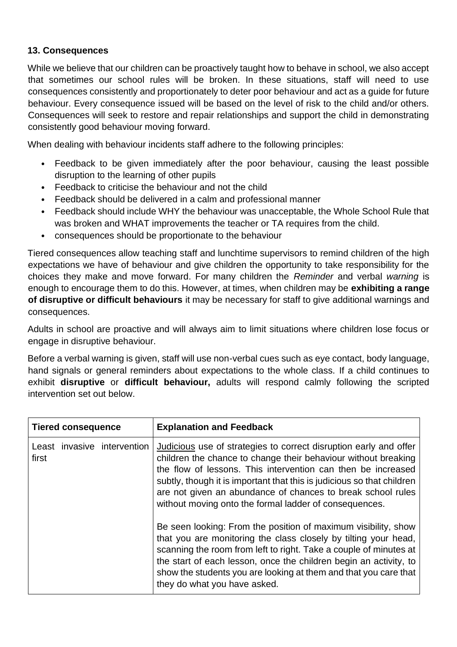#### **13. Consequences**

While we believe that our children can be proactively taught how to behave in school, we also accept that sometimes our school rules will be broken. In these situations, staff will need to use consequences consistently and proportionately to deter poor behaviour and act as a guide for future behaviour. Every consequence issued will be based on the level of risk to the child and/or others. Consequences will seek to restore and repair relationships and support the child in demonstrating consistently good behaviour moving forward.

When dealing with behaviour incidents staff adhere to the following principles:

- Feedback to be given immediately after the poor behaviour, causing the least possible disruption to the learning of other pupils
- Feedback to criticise the behaviour and not the child
- Feedback should be delivered in a calm and professional manner
- Feedback should include WHY the behaviour was unacceptable, the Whole School Rule that was broken and WHAT improvements the teacher or TA requires from the child.
- consequences should be proportionate to the behaviour

Tiered consequences allow teaching staff and lunchtime supervisors to remind children of the high expectations we have of behaviour and give children the opportunity to take responsibility for the choices they make and move forward. For many children the *Reminder* and verbal *warning* is enough to encourage them to do this. However, at times, when children may be **exhibiting a range of disruptive or difficult behaviours** it may be necessary for staff to give additional warnings and consequences.

Adults in school are proactive and will always aim to limit situations where children lose focus or engage in disruptive behaviour.

Before a verbal warning is given, staff will use non-verbal cues such as eye contact, body language, hand signals or general reminders about expectations to the whole class. If a child continues to exhibit **disruptive** or **difficult behaviour,** adults will respond calmly following the scripted intervention set out below.

| <b>Tiered consequence</b>            |  | <b>Explanation and Feedback</b>                                                                                                                                                                                                                                                                                                                                                                               |
|--------------------------------------|--|---------------------------------------------------------------------------------------------------------------------------------------------------------------------------------------------------------------------------------------------------------------------------------------------------------------------------------------------------------------------------------------------------------------|
| Least invasive intervention<br>first |  | <b>Judicious</b> use of strategies to correct disruption early and offer<br>children the chance to change their behaviour without breaking<br>the flow of lessons. This intervention can then be increased<br>subtly, though it is important that this is judicious so that children<br>are not given an abundance of chances to break school rules<br>without moving onto the formal ladder of consequences. |
|                                      |  | Be seen looking: From the position of maximum visibility, show<br>that you are monitoring the class closely by tilting your head,<br>scanning the room from left to right. Take a couple of minutes at<br>the start of each lesson, once the children begin an activity, to<br>show the students you are looking at them and that you care that<br>they do what you have asked.                               |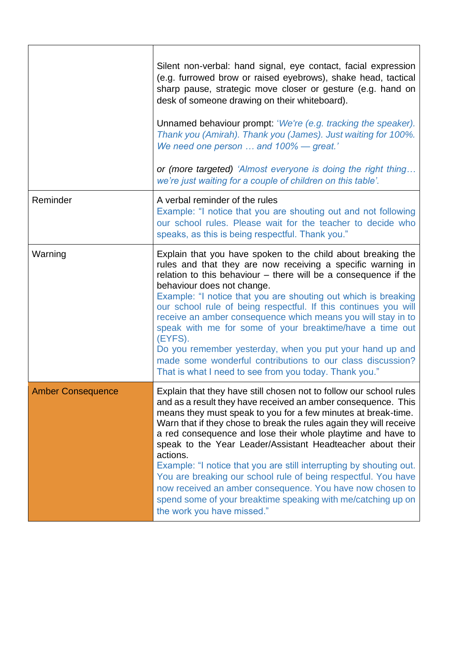|                          | Silent non-verbal: hand signal, eye contact, facial expression<br>(e.g. furrowed brow or raised eyebrows), shake head, tactical<br>sharp pause, strategic move closer or gesture (e.g. hand on<br>desk of someone drawing on their whiteboard).<br>Unnamed behaviour prompt: 'We're (e.g. tracking the speaker).<br>Thank you (Amirah). Thank you (James). Just waiting for 100%.<br>We need one person  and 100% - great.'<br>or (more targeted) 'Almost everyone is doing the right thing<br>we're just waiting for a couple of children on this table'.                                                                                                                                                              |
|--------------------------|-------------------------------------------------------------------------------------------------------------------------------------------------------------------------------------------------------------------------------------------------------------------------------------------------------------------------------------------------------------------------------------------------------------------------------------------------------------------------------------------------------------------------------------------------------------------------------------------------------------------------------------------------------------------------------------------------------------------------|
| Reminder                 | A verbal reminder of the rules<br>Example: "I notice that you are shouting out and not following<br>our school rules. Please wait for the teacher to decide who<br>speaks, as this is being respectful. Thank you."                                                                                                                                                                                                                                                                                                                                                                                                                                                                                                     |
| Warning                  | Explain that you have spoken to the child about breaking the<br>rules and that they are now receiving a specific warning in<br>relation to this behaviour $-$ there will be a consequence if the<br>behaviour does not change.<br>Example: "I notice that you are shouting out which is breaking<br>our school rule of being respectful. If this continues you will<br>receive an amber consequence which means you will stay in to<br>speak with me for some of your breaktime/have a time out<br>(EYFS).<br>Do you remember yesterday, when you put your hand up and<br>made some wonderful contributions to our class discussion?<br>That is what I need to see from you today. Thank you."                          |
| <b>Amber Consequence</b> | Explain that they have still chosen not to follow our school rules<br>and as a result they have received an amber consequence. This<br>means they must speak to you for a few minutes at break-time.<br>Warn that if they chose to break the rules again they will receive<br>a red consequence and lose their whole playtime and have to<br>speak to the Year Leader/Assistant Headteacher about their<br>actions.<br>Example: "I notice that you are still interrupting by shouting out.<br>You are breaking our school rule of being respectful. You have<br>now received an amber consequence. You have now chosen to<br>spend some of your breaktime speaking with me/catching up on<br>the work you have missed." |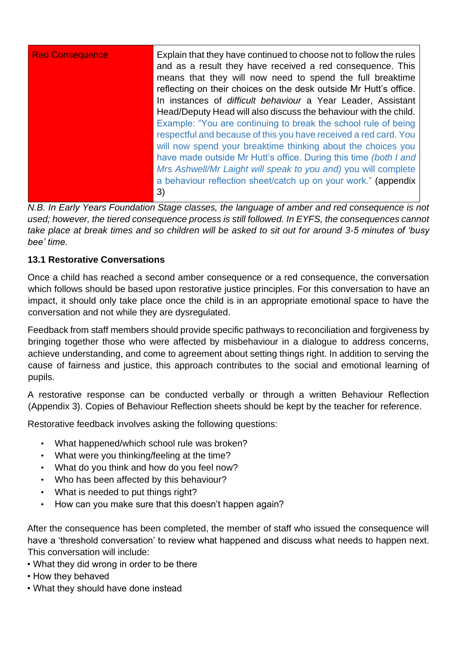| <b>Red Consequence</b> | Explain that they have continued to choose not to follow the rules<br>and as a result they have received a red consequence. This<br>means that they will now need to spend the full breaktime<br>reflecting on their choices on the desk outside Mr Hutt's office.<br>In instances of difficult behaviour a Year Leader, Assistant<br>Head/Deputy Head will also discuss the behaviour with the child.<br>Example: "You are continuing to break the school rule of being<br>respectful and because of this you have received a red card. You<br>will now spend your breaktime thinking about the choices you<br>have made outside Mr Hutt's office. During this time (both I and<br>Mrs Ashwell/Mr Laight will speak to you and) you will complete |
|------------------------|----------------------------------------------------------------------------------------------------------------------------------------------------------------------------------------------------------------------------------------------------------------------------------------------------------------------------------------------------------------------------------------------------------------------------------------------------------------------------------------------------------------------------------------------------------------------------------------------------------------------------------------------------------------------------------------------------------------------------------------------------|
|                        | a behaviour reflection sheet/catch up on your work." (appendix<br>3)                                                                                                                                                                                                                                                                                                                                                                                                                                                                                                                                                                                                                                                                               |

*N.B. In Early Years Foundation Stage classes, the language of amber and red consequence is not used; however, the tiered consequence process is still followed. In EYFS, the consequences cannot take place at break times and so children will be asked to sit out for around 3-5 minutes of 'busy bee' time.*

## **13.1 Restorative Conversations**

Once a child has reached a second amber consequence or a red consequence, the conversation which follows should be based upon restorative justice principles. For this conversation to have an impact, it should only take place once the child is in an appropriate emotional space to have the conversation and not while they are dysregulated.

Feedback from staff members should provide specific pathways to reconciliation and forgiveness by bringing together those who were affected by misbehaviour in a dialogue to address concerns, achieve understanding, and come to agreement about setting things right. In addition to serving the cause of fairness and justice, this approach contributes to the social and emotional learning of pupils.

A restorative response can be conducted verbally or through a written Behaviour Reflection (Appendix 3). Copies of Behaviour Reflection sheets should be kept by the teacher for reference.

Restorative feedback involves asking the following questions:

- What happened/which school rule was broken?
- What were you thinking/feeling at the time?
- What do you think and how do you feel now?
- Who has been affected by this behaviour?
- What is needed to put things right?
- How can you make sure that this doesn't happen again?

After the consequence has been completed, the member of staff who issued the consequence will have a 'threshold conversation' to review what happened and discuss what needs to happen next. This conversation will include:

- What they did wrong in order to be there
- How they behaved
- What they should have done instead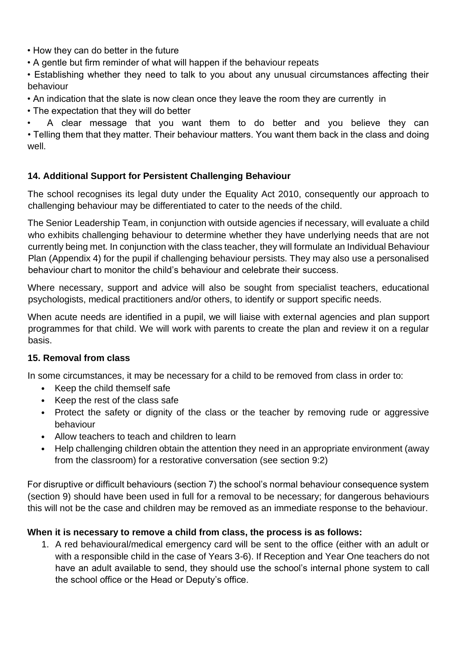• How they can do better in the future

• A gentle but firm reminder of what will happen if the behaviour repeats

• Establishing whether they need to talk to you about any unusual circumstances affecting their behaviour

- An indication that the slate is now clean once they leave the room they are currently in
- The expectation that they will do better

• A clear message that you want them to do better and you believe they can • Telling them that they matter. Their behaviour matters. You want them back in the class and doing well.

## **14. Additional Support for Persistent Challenging Behaviour**

The school recognises its legal duty under the Equality Act 2010, consequently our approach to challenging behaviour may be differentiated to cater to the needs of the child.

The Senior Leadership Team, in conjunction with outside agencies if necessary, will evaluate a child who exhibits challenging behaviour to determine whether they have underlying needs that are not currently being met. In conjunction with the class teacher, they will formulate an Individual Behaviour Plan (Appendix 4) for the pupil if challenging behaviour persists. They may also use a personalised behaviour chart to monitor the child's behaviour and celebrate their success.

Where necessary, support and advice will also be sought from specialist teachers, educational psychologists, medical practitioners and/or others, to identify or support specific needs.

When acute needs are identified in a pupil, we will liaise with external agencies and plan support programmes for that child. We will work with parents to create the plan and review it on a regular basis.

#### **15. Removal from class**

In some circumstances, it may be necessary for a child to be removed from class in order to:

- Keep the child themself safe
- Keep the rest of the class safe
- Protect the safety or dignity of the class or the teacher by removing rude or aggressive behaviour
- Allow teachers to teach and children to learn
- Help challenging children obtain the attention they need in an appropriate environment (away from the classroom) for a restorative conversation (see section 9:2)

For disruptive or difficult behaviours (section 7) the school's normal behaviour consequence system (section 9) should have been used in full for a removal to be necessary; for dangerous behaviours this will not be the case and children may be removed as an immediate response to the behaviour.

#### **When it is necessary to remove a child from class, the process is as follows:**

1. A red behavioural/medical emergency card will be sent to the office (either with an adult or with a responsible child in the case of Years 3-6). If Reception and Year One teachers do not have an adult available to send, they should use the school's internal phone system to call the school office or the Head or Deputy's office.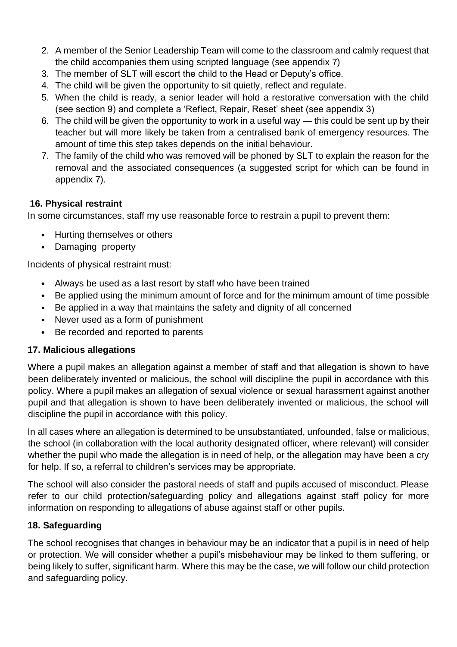- 2. A member of the Senior Leadership Team will come to the classroom and calmly request that the child accompanies them using scripted language (see appendix 7)
- 3. The member of SLT will escort the child to the Head or Deputy's office.
- 4. The child will be given the opportunity to sit quietly, reflect and regulate.
- 5. When the child is ready, a senior leader will hold a restorative conversation with the child (see section 9) and complete a 'Reflect, Repair, Reset' sheet (see appendix 3)
- 6. The child will be given the opportunity to work in a useful way this could be sent up by their teacher but will more likely be taken from a centralised bank of emergency resources. The amount of time this step takes depends on the initial behaviour.
- 7. The family of the child who was removed will be phoned by SLT to explain the reason for the removal and the associated consequences (a suggested script for which can be found in appendix 7).

#### **16. Physical restraint**

In some circumstances, staff my use reasonable force to restrain a pupil to prevent them:

- Hurting themselves or others
- Damaging property

Incidents of physical restraint must:

- Always be used as a last resort by staff who have been trained
- Be applied using the minimum amount of force and for the minimum amount of time possible
- Be applied in a way that maintains the safety and dignity of all concerned
- Never used as a form of punishment
- Be recorded and reported to parents

#### **17. Malicious allegations**

Where a pupil makes an allegation against a member of staff and that allegation is shown to have been deliberately invented or malicious, the school will discipline the pupil in accordance with this policy. Where a pupil makes an allegation of sexual violence or sexual harassment against another pupil and that allegation is shown to have been deliberately invented or malicious, the school will discipline the pupil in accordance with this policy.

In all cases where an allegation is determined to be unsubstantiated, unfounded, false or malicious, the school (in collaboration with the local authority designated officer, where relevant) will consider whether the pupil who made the allegation is in need of help, or the allegation may have been a cry for help. If so, a referral to children's services may be appropriate.

The school will also consider the pastoral needs of staff and pupils accused of misconduct. Please refer to our child protection/safeguarding policy and allegations against staff policy for more information on responding to allegations of abuse against staff or other pupils.

#### **18. Safeguarding**

The school recognises that changes in behaviour may be an indicator that a pupil is in need of help or protection. We will consider whether a pupil's misbehaviour may be linked to them suffering, or being likely to suffer, significant harm. Where this may be the case, we will follow our child protection and safeguarding policy.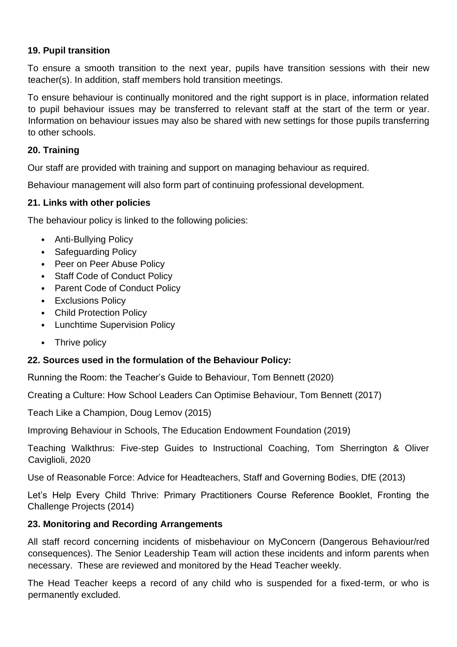#### **19. Pupil transition**

To ensure a smooth transition to the next year, pupils have transition sessions with their new teacher(s). In addition, staff members hold transition meetings.

To ensure behaviour is continually monitored and the right support is in place, information related to pupil behaviour issues may be transferred to relevant staff at the start of the term or year. Information on behaviour issues may also be shared with new settings for those pupils transferring to other schools.

#### **20. Training**

Our staff are provided with training and support on managing behaviour as required.

Behaviour management will also form part of continuing professional development.

#### **21. Links with other policies**

The behaviour policy is linked to the following policies:

- Anti-Bullying Policy
- Safeguarding Policy
- Peer on Peer Abuse Policy
- Staff Code of Conduct Policy
- Parent Code of Conduct Policy
- Exclusions Policy
- Child Protection Policy
- Lunchtime Supervision Policy
- Thrive policy

#### **22. Sources used in the formulation of the Behaviour Policy:**

Running the Room: the Teacher's Guide to Behaviour, Tom Bennett (2020)

Creating a Culture: How School Leaders Can Optimise Behaviour, Tom Bennett (2017)

Teach Like a Champion, Doug Lemov (2015)

Improving Behaviour in Schools, The Education Endowment Foundation (2019)

Teaching Walkthrus: Five-step Guides to Instructional Coaching, Tom Sherrington & Oliver Caviglioli, 2020

Use of Reasonable Force: Advice for Headteachers, Staff and Governing Bodies, DfE (2013)

Let's Help Every Child Thrive: Primary Practitioners Course Reference Booklet, Fronting the Challenge Projects (2014)

#### **23. Monitoring and Recording Arrangements**

All staff record concerning incidents of misbehaviour on MyConcern (Dangerous Behaviour/red consequences). The Senior Leadership Team will action these incidents and inform parents when necessary. These are reviewed and monitored by the Head Teacher weekly.

The Head Teacher keeps a record of any child who is suspended for a fixed-term, or who is permanently excluded.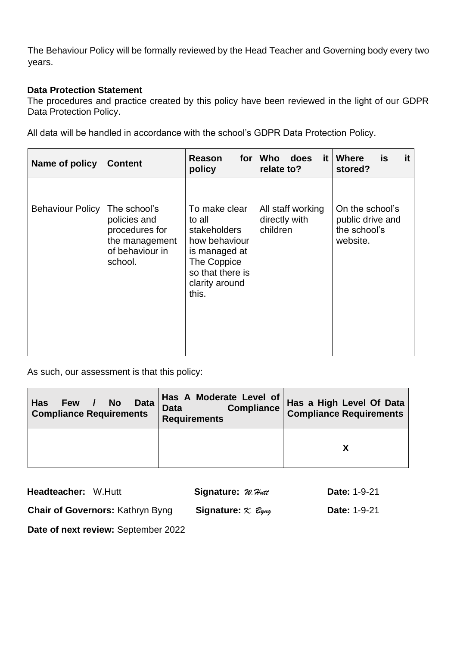The Behaviour Policy will be formally reviewed by the Head Teacher and Governing body every two years.

#### **Data Protection Statement**

The procedures and practice created by this policy have been reviewed in the light of our GDPR Data Protection Policy.

All data will be handled in accordance with the school's GDPR Data Protection Policy.

| Name of policy          | <b>Content</b>                                                                                 | for<br>Reason<br>policy                                                                                                                        | <b>Who</b><br>does<br>it I<br>relate to?       | it<br><b>Where</b><br>is<br>stored?                             |
|-------------------------|------------------------------------------------------------------------------------------------|------------------------------------------------------------------------------------------------------------------------------------------------|------------------------------------------------|-----------------------------------------------------------------|
| <b>Behaviour Policy</b> | The school's<br>policies and<br>procedures for<br>the management<br>of behaviour in<br>school. | To make clear<br>to all<br><b>stakeholders</b><br>how behaviour<br>is managed at<br>The Coppice<br>so that there is<br>clarity around<br>this. | All staff working<br>directly with<br>children | On the school's<br>public drive and<br>the school's<br>website. |

As such, our assessment is that this policy:

| <b>Data</b><br><b>No</b><br><b>Has</b><br>Few /<br><b>Compliance Requirements</b> | Has A Moderate Level of<br><b>Compliance</b><br><b>Data</b><br><b>Requirements</b> | Has a High Level Of Data<br><b>Compliance Requirements</b> |
|-----------------------------------------------------------------------------------|------------------------------------------------------------------------------------|------------------------------------------------------------|
|                                                                                   |                                                                                    |                                                            |

| Headteacher: W.Hutt                     | Signature: W. Hutt                        | <b>Date: 1-9-21</b> |
|-----------------------------------------|-------------------------------------------|---------------------|
| <b>Chair of Governors: Kathryn Byng</b> | Signature: $\propto$ $\mathcal{E}_{\psi}$ | <b>Date: 1-9-21</b> |

**Date of next review:** September 2022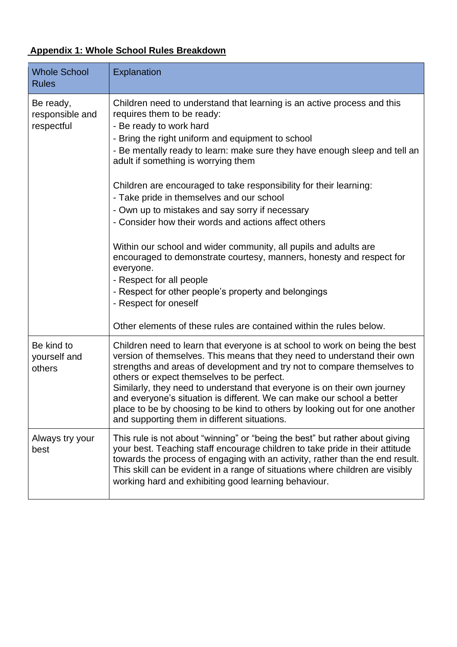# **Appendix 1: Whole School Rules Breakdown**

| <b>Whole School</b><br><b>Rules</b>        | Explanation                                                                                                                                                                                                                                                                                                                                                                                                                                                                                                                                                                                                                                                                                                                                                                                                                                                                           |
|--------------------------------------------|---------------------------------------------------------------------------------------------------------------------------------------------------------------------------------------------------------------------------------------------------------------------------------------------------------------------------------------------------------------------------------------------------------------------------------------------------------------------------------------------------------------------------------------------------------------------------------------------------------------------------------------------------------------------------------------------------------------------------------------------------------------------------------------------------------------------------------------------------------------------------------------|
| Be ready,<br>responsible and<br>respectful | Children need to understand that learning is an active process and this<br>requires them to be ready:<br>- Be ready to work hard<br>- Bring the right uniform and equipment to school<br>- Be mentally ready to learn: make sure they have enough sleep and tell an<br>adult if something is worrying them<br>Children are encouraged to take responsibility for their learning:<br>- Take pride in themselves and our school<br>- Own up to mistakes and say sorry if necessary<br>- Consider how their words and actions affect others<br>Within our school and wider community, all pupils and adults are<br>encouraged to demonstrate courtesy, manners, honesty and respect for<br>everyone.<br>- Respect for all people<br>- Respect for other people's property and belongings<br>- Respect for oneself<br>Other elements of these rules are contained within the rules below. |
| Be kind to<br>yourself and<br>others       | Children need to learn that everyone is at school to work on being the best<br>version of themselves. This means that they need to understand their own<br>strengths and areas of development and try not to compare themselves to<br>others or expect themselves to be perfect.<br>Similarly, they need to understand that everyone is on their own journey<br>and everyone's situation is different. We can make our school a better<br>place to be by choosing to be kind to others by looking out for one another<br>and supporting them in different situations.                                                                                                                                                                                                                                                                                                                 |
| Always try your<br>best                    | This rule is not about "winning" or "being the best" but rather about giving<br>your best. Teaching staff encourage children to take pride in their attitude<br>towards the process of engaging with an activity, rather than the end result.<br>This skill can be evident in a range of situations where children are visibly<br>working hard and exhibiting good learning behaviour.                                                                                                                                                                                                                                                                                                                                                                                                                                                                                                |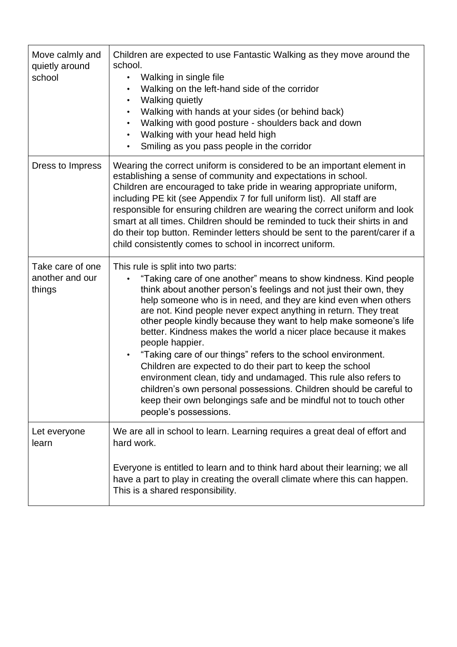| Move calmly and<br>quietly around<br>school   | Children are expected to use Fantastic Walking as they move around the<br>school.<br>Walking in single file<br>Walking on the left-hand side of the corridor<br><b>Walking quietly</b><br>$\bullet$<br>Walking with hands at your sides (or behind back)<br>$\bullet$<br>Walking with good posture - shoulders back and down<br>Walking with your head held high<br>Smiling as you pass people in the corridor                                                                                                                                                                                                                                                                                                                                                                                                                                     |
|-----------------------------------------------|----------------------------------------------------------------------------------------------------------------------------------------------------------------------------------------------------------------------------------------------------------------------------------------------------------------------------------------------------------------------------------------------------------------------------------------------------------------------------------------------------------------------------------------------------------------------------------------------------------------------------------------------------------------------------------------------------------------------------------------------------------------------------------------------------------------------------------------------------|
| Dress to Impress                              | Wearing the correct uniform is considered to be an important element in<br>establishing a sense of community and expectations in school.<br>Children are encouraged to take pride in wearing appropriate uniform,<br>including PE kit (see Appendix 7 for full uniform list). All staff are<br>responsible for ensuring children are wearing the correct uniform and look<br>smart at all times. Children should be reminded to tuck their shirts in and<br>do their top button. Reminder letters should be sent to the parent/carer if a<br>child consistently comes to school in incorrect uniform.                                                                                                                                                                                                                                              |
| Take care of one<br>another and our<br>things | This rule is split into two parts:<br>"Taking care of one another" means to show kindness. Kind people<br>think about another person's feelings and not just their own, they<br>help someone who is in need, and they are kind even when others<br>are not. Kind people never expect anything in return. They treat<br>other people kindly because they want to help make someone's life<br>better. Kindness makes the world a nicer place because it makes<br>people happier.<br>"Taking care of our things" refers to the school environment.<br>Children are expected to do their part to keep the school<br>environment clean, tidy and undamaged. This rule also refers to<br>children's own personal possessions. Children should be careful to<br>keep their own belongings safe and be mindful not to touch other<br>people's possessions. |
| Let everyone<br>learn                         | We are all in school to learn. Learning requires a great deal of effort and<br>hard work.                                                                                                                                                                                                                                                                                                                                                                                                                                                                                                                                                                                                                                                                                                                                                          |
|                                               | Everyone is entitled to learn and to think hard about their learning; we all<br>have a part to play in creating the overall climate where this can happen.<br>This is a shared responsibility.                                                                                                                                                                                                                                                                                                                                                                                                                                                                                                                                                                                                                                                     |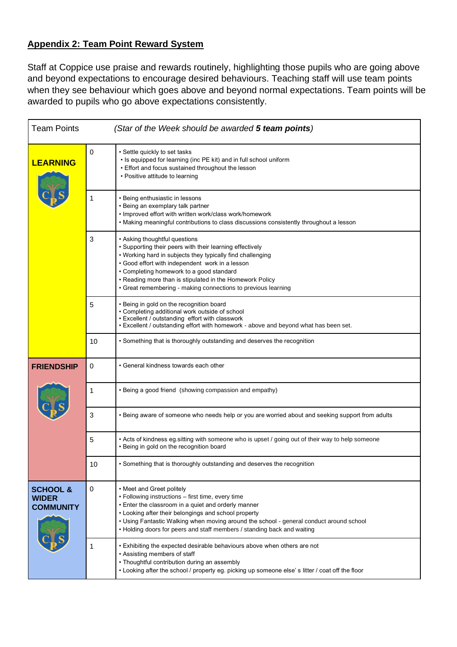#### **Appendix 2: Team Point Reward System**

Staff at Coppice use praise and rewards routinely, highlighting those pupils who are going above and beyond expectations to encourage desired behaviours. Teaching staff will use team points when they see behaviour which goes above and beyond normal expectations. Team points will be awarded to pupils who go above expectations consistently.

| <b>Team Points</b>                                      |    | (Star of the Week should be awarded 5 team points)                                                                                                                                                                                                                                                                                                                                  |
|---------------------------------------------------------|----|-------------------------------------------------------------------------------------------------------------------------------------------------------------------------------------------------------------------------------------------------------------------------------------------------------------------------------------------------------------------------------------|
| <b>LEARNING</b>                                         | 0  | • Settle quickly to set tasks<br>. Is equipped for learning (inc PE kit) and in full school uniform<br>• Effort and focus sustained throughout the lesson<br>• Positive attitude to learning                                                                                                                                                                                        |
|                                                         |    | • Being enthusiastic in lessons<br>• Being an exemplary talk partner<br>• Improved effort with written work/class work/homework<br>. Making meaningful contributions to class discussions consistently throughout a lesson                                                                                                                                                          |
|                                                         | 3  | • Asking thoughtful questions<br>• Supporting their peers with their learning effectively<br>. Working hard in subjects they typically find challenging<br>• Good effort with independent work in a lesson<br>• Completing homework to a good standard<br>• Reading more than is stipulated in the Homework Policy<br>• Great remembering - making connections to previous learning |
|                                                         | 5  | • Being in gold on the recognition board<br>• Completing additional work outside of school<br>• Excellent / outstanding effort with classwork<br>. Excellent / outstanding effort with homework - above and beyond what has been set.                                                                                                                                               |
|                                                         | 10 | • Something that is thoroughly outstanding and deserves the recognition                                                                                                                                                                                                                                                                                                             |
| <b>FRIENDSHIP</b>                                       | 0  | • General kindness towards each other                                                                                                                                                                                                                                                                                                                                               |
|                                                         | 1  | • Being a good friend (showing compassion and empathy)                                                                                                                                                                                                                                                                                                                              |
|                                                         | 3  | . Being aware of someone who needs help or you are worried about and seeking support from adults                                                                                                                                                                                                                                                                                    |
|                                                         | 5  | • Acts of kindness eg.sitting with someone who is upset / going out of their way to help someone<br>• Being in gold on the recognition board                                                                                                                                                                                                                                        |
|                                                         | 10 | • Something that is thoroughly outstanding and deserves the recognition                                                                                                                                                                                                                                                                                                             |
| <b>SCHOOL &amp;</b><br><b>WIDER</b><br><b>COMMUNITY</b> | 0  | • Meet and Greet politely<br>· Following instructions - first time, every time<br>• Enter the classroom in a quiet and orderly manner<br>• Looking after their belongings and school property<br>• Using Fantastic Walking when moving around the school - general conduct around school<br>• Holding doors for peers and staff members / standing back and waiting                 |
|                                                         | 1  | . Exhibiting the expected desirable behaviours above when others are not<br>• Assisting members of staff<br>• Thoughtful contribution during an assembly<br>. Looking after the school / property eg. picking up someone else's litter / coat off the floor                                                                                                                         |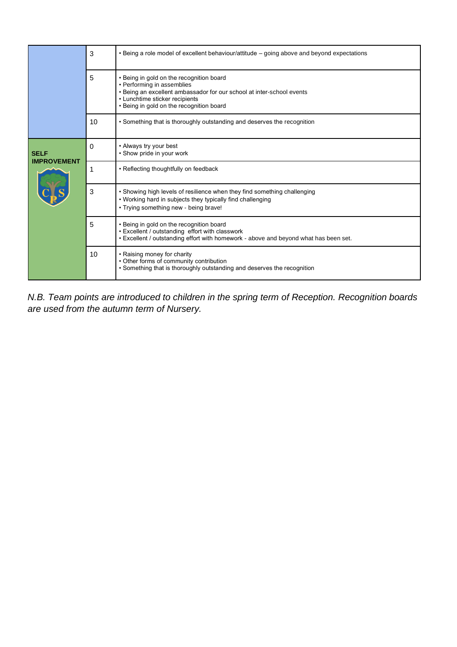|                                   | 3           | • Being a role model of excellent behaviour/attitude – going above and beyond expectations                                                                                                                                    |
|-----------------------------------|-------------|-------------------------------------------------------------------------------------------------------------------------------------------------------------------------------------------------------------------------------|
|                                   | 5           | • Being in gold on the recognition board<br>• Performing in assemblies<br>• Being an excellent ambassador for our school at inter-school events<br>• Lunchtime sticker recipients<br>• Being in gold on the recognition board |
|                                   | 10          | • Something that is thoroughly outstanding and deserves the recognition                                                                                                                                                       |
| <b>SELF</b><br><b>IMPROVEMENT</b> | 0           | • Always try your best<br>• Show pride in your work                                                                                                                                                                           |
|                                   | $\mathbf 1$ | • Reflecting thoughtfully on feedback                                                                                                                                                                                         |
|                                   | 3           | • Showing high levels of resilience when they find something challenging<br>. Working hard in subjects they typically find challenging<br>• Trying something new - being brave!                                               |
|                                   | 5           | • Being in gold on the recognition board<br>• Excellent / outstanding effort with classwork<br>. Excellent / outstanding effort with homework - above and beyond what has been set.                                           |
|                                   | 10          | • Raising money for charity<br>• Other forms of community contribution<br>• Something that is thoroughly outstanding and deserves the recognition                                                                             |

*N.B. Team points are introduced to children in the spring term of Reception. Recognition boards are used from the autumn term of Nursery.*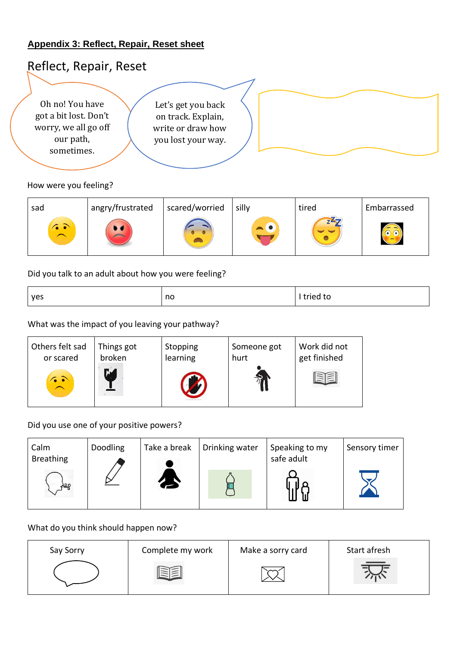#### **Appendix 3: Reflect, Repair, Reset sheet**



#### How were you feeling?

| sad            | angry/frustrated | scared/worried | silly | tired                 | Embarrassed |
|----------------|------------------|----------------|-------|-----------------------|-------------|
| <b>65</b><br>╭ |                  |                |       | $Z^2$<br>$\checkmark$ |             |

Did you talk to an adult about how you were feeling?

| tried to<br>no<br>yes |  |
|-----------------------|--|
|-----------------------|--|

What was the impact of you leaving your pathway?

| Others felt sad | Things got | Stopping | Someone got | Work did not |
|-----------------|------------|----------|-------------|--------------|
| or scared       | broken     | learning | hurt        | get finished |
|                 | M          |          |             |              |

#### Did you use one of your positive powers?

| Calm<br><b>Breathing</b> | Doodling | Take a break | Drinking water | Speaking to my<br>safe adult | Sensory timer |
|--------------------------|----------|--------------|----------------|------------------------------|---------------|
| ەھد                      |          | $\bullet$    |                |                              |               |

#### What do you think should happen now?

| Say Sorry | Complete my work | Make a sorry card | Start afresh |
|-----------|------------------|-------------------|--------------|
|           |                  | $\sim$            |              |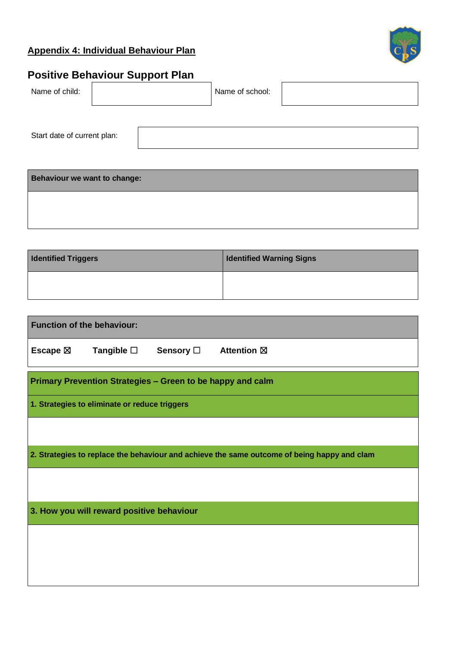# **Appendix 4: Individual Behaviour Plan**



# **Positive Behaviour Support Plan**

| Name of child:              |  | Name of school: |  |
|-----------------------------|--|-----------------|--|
|                             |  |                 |  |
| Start date of current plan: |  |                 |  |
|                             |  |                 |  |

**Behaviour we want to change:**

| <b>Identified Triggers</b> | <b>Identified Warning Signs</b> |
|----------------------------|---------------------------------|
|                            |                                 |

| <b>Function of the behaviour:</b> |                                                            |                  |                                                                                             |
|-----------------------------------|------------------------------------------------------------|------------------|---------------------------------------------------------------------------------------------|
| Escape $\boxtimes$                | Tangible □                                                 | <b>Sensory</b> □ | <b>Attention</b> ⊠                                                                          |
|                                   | Primary Prevention Strategies - Green to be happy and calm |                  |                                                                                             |
|                                   | 1. Strategies to eliminate or reduce triggers              |                  |                                                                                             |
|                                   |                                                            |                  |                                                                                             |
|                                   |                                                            |                  | 2. Strategies to replace the behaviour and achieve the same outcome of being happy and clam |
|                                   |                                                            |                  |                                                                                             |
|                                   | 3. How you will reward positive behaviour                  |                  |                                                                                             |
|                                   |                                                            |                  |                                                                                             |
|                                   |                                                            |                  |                                                                                             |
|                                   |                                                            |                  |                                                                                             |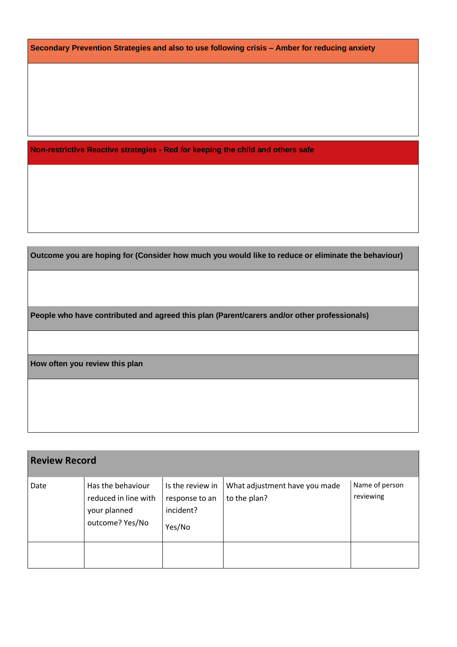**Secondary Prevention Strategies and also to use following crisis – Amber for reducing anxiety**

**Non-restrictive Reactive strategies - Red for keeping the child and others safe**

**Outcome you are hoping for (Consider how much you would like to reduce or eliminate the behaviour)**

**People who have contributed and agreed this plan (Parent/carers and/or other professionals)**

**How often you review this plan**

| <b>Review Record</b> |                                                                              |                                                           |                                               |                             |
|----------------------|------------------------------------------------------------------------------|-----------------------------------------------------------|-----------------------------------------------|-----------------------------|
| Date                 | Has the behaviour<br>reduced in line with<br>your planned<br>outcome? Yes/No | Is the review in<br>response to an<br>incident?<br>Yes/No | What adjustment have you made<br>to the plan? | Name of person<br>reviewing |
|                      |                                                                              |                                                           |                                               |                             |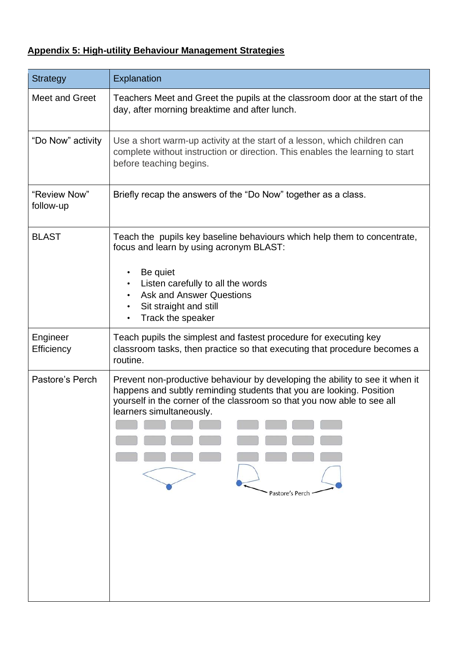# **Appendix 5: High-utility Behaviour Management Strategies**

| <b>Strategy</b>           | Explanation                                                                                                                                                                                                                                                                                   |
|---------------------------|-----------------------------------------------------------------------------------------------------------------------------------------------------------------------------------------------------------------------------------------------------------------------------------------------|
| Meet and Greet            | Teachers Meet and Greet the pupils at the classroom door at the start of the<br>day, after morning breaktime and after lunch.                                                                                                                                                                 |
| "Do Now" activity         | Use a short warm-up activity at the start of a lesson, which children can<br>complete without instruction or direction. This enables the learning to start<br>before teaching begins.                                                                                                         |
| "Review Now"<br>follow-up | Briefly recap the answers of the "Do Now" together as a class.                                                                                                                                                                                                                                |
| <b>BLAST</b>              | Teach the pupils key baseline behaviours which help them to concentrate,<br>focus and learn by using acronym BLAST:<br>Be quiet<br>$\bullet$<br>Listen carefully to all the words<br><b>Ask and Answer Questions</b><br>Sit straight and still<br>$\bullet$<br>Track the speaker<br>$\bullet$ |
| Engineer<br>Efficiency    | Teach pupils the simplest and fastest procedure for executing key<br>classroom tasks, then practice so that executing that procedure becomes a<br>routine.                                                                                                                                    |
| Pastore's Perch           | Prevent non-productive behaviour by developing the ability to see it when it<br>happens and subtly reminding students that you are looking. Position<br>yourself in the corner of the classroom so that you now able to see all<br>learners simultaneously.<br>Pastore's Perch                |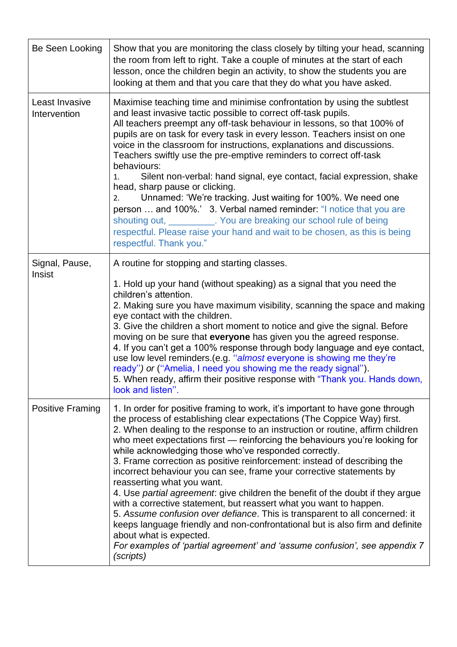| Be Seen Looking                | Show that you are monitoring the class closely by tilting your head, scanning<br>the room from left to right. Take a couple of minutes at the start of each<br>lesson, once the children begin an activity, to show the students you are<br>looking at them and that you care that they do what you have asked.                                                                                                                                                                                                                                                                                                                                                                                                                                                                                                                                                                                                                                                                                                   |
|--------------------------------|-------------------------------------------------------------------------------------------------------------------------------------------------------------------------------------------------------------------------------------------------------------------------------------------------------------------------------------------------------------------------------------------------------------------------------------------------------------------------------------------------------------------------------------------------------------------------------------------------------------------------------------------------------------------------------------------------------------------------------------------------------------------------------------------------------------------------------------------------------------------------------------------------------------------------------------------------------------------------------------------------------------------|
| Least Invasive<br>Intervention | Maximise teaching time and minimise confrontation by using the subtlest<br>and least invasive tactic possible to correct off-task pupils.<br>All teachers preempt any off-task behaviour in lessons, so that 100% of<br>pupils are on task for every task in every lesson. Teachers insist on one<br>voice in the classroom for instructions, explanations and discussions.<br>Teachers swiftly use the pre-emptive reminders to correct off-task<br>behaviours:<br>Silent non-verbal: hand signal, eye contact, facial expression, shake<br>1.<br>head, sharp pause or clicking.<br>Unnamed: 'We're tracking. Just waiting for 100%. We need one<br>2.<br>person  and 100%.' 3. Verbal named reminder: "I notice that you are<br>shouting out, ___________. You are breaking our school rule of being<br>respectful. Please raise your hand and wait to be chosen, as this is being<br>respectful. Thank you."                                                                                                   |
| Signal, Pause,<br>Insist       | A routine for stopping and starting classes.<br>1. Hold up your hand (without speaking) as a signal that you need the<br>children's attention.<br>2. Making sure you have maximum visibility, scanning the space and making<br>eye contact with the children.<br>3. Give the children a short moment to notice and give the signal. Before<br>moving on be sure that everyone has given you the agreed response.<br>4. If you can't get a 100% response through body language and eye contact,<br>use low level reminders. (e.g. "almost everyone is showing me they're<br>ready") or ("Amelia, I need you showing me the ready signal").<br>5. When ready, affirm their positive response with "Thank you. Hands down,<br>look and listen".                                                                                                                                                                                                                                                                      |
| Positive Framing               | 1. In order for positive framing to work, it's important to have gone through<br>the process of establishing clear expectations (The Coppice Way) first.<br>2. When dealing to the response to an instruction or routine, affirm children<br>who meet expectations first - reinforcing the behaviours you're looking for<br>while acknowledging those who've responded correctly.<br>3. Frame correction as positive reinforcement: instead of describing the<br>incorrect behaviour you can see, frame your corrective statements by<br>reasserting what you want.<br>4. Use partial agreement: give children the benefit of the doubt if they argue<br>with a corrective statement, but reassert what you want to happen.<br>5. Assume confusion over defiance. This is transparent to all concerned: it<br>keeps language friendly and non-confrontational but is also firm and definite<br>about what is expected.<br>For examples of 'partial agreement' and 'assume confusion', see appendix 7<br>(scripts) |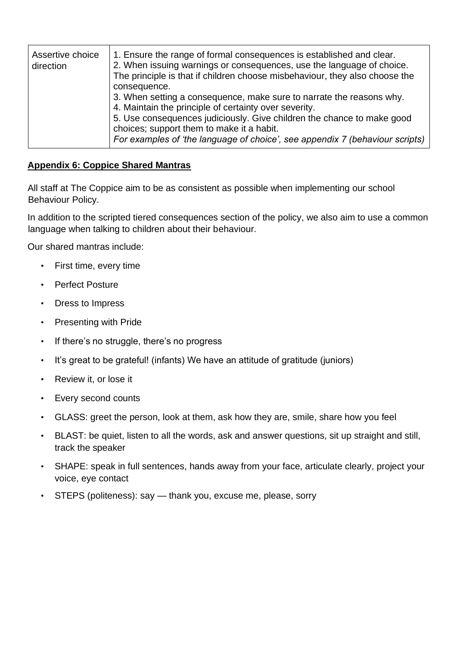| Assertive choice<br>direction | 1. Ensure the range of formal consequences is established and clear.<br>2. When issuing warnings or consequences, use the language of choice.<br>The principle is that if children choose misbehaviour, they also choose the<br>consequence.<br>3. When setting a consequence, make sure to narrate the reasons why.<br>4. Maintain the principle of certainty over severity.<br>5. Use consequences judiciously. Give children the chance to make good<br>choices; support them to make it a habit.<br>For examples of 'the language of choice', see appendix 7 (behaviour scripts) |
|-------------------------------|--------------------------------------------------------------------------------------------------------------------------------------------------------------------------------------------------------------------------------------------------------------------------------------------------------------------------------------------------------------------------------------------------------------------------------------------------------------------------------------------------------------------------------------------------------------------------------------|
|-------------------------------|--------------------------------------------------------------------------------------------------------------------------------------------------------------------------------------------------------------------------------------------------------------------------------------------------------------------------------------------------------------------------------------------------------------------------------------------------------------------------------------------------------------------------------------------------------------------------------------|

#### **Appendix 6: Coppice Shared Mantras**

All staff at The Coppice aim to be as consistent as possible when implementing our school Behaviour Policy.

In addition to the scripted tiered consequences section of the policy, we also aim to use a common language when talking to children about their behaviour.

Our shared mantras include:

- First time, every time
- Perfect Posture
- Dress to Impress
- Presenting with Pride
- If there's no struggle, there's no progress
- It's great to be grateful! (infants) We have an attitude of gratitude (juniors)
- Review it, or lose it
- Every second counts
- GLASS: greet the person, look at them, ask how they are, smile, share how you feel
- BLAST: be quiet, listen to all the words, ask and answer questions, sit up straight and still, track the speaker
- SHAPE: speak in full sentences, hands away from your face, articulate clearly, project your voice, eye contact
- STEPS (politeness): say thank you, excuse me, please, sorry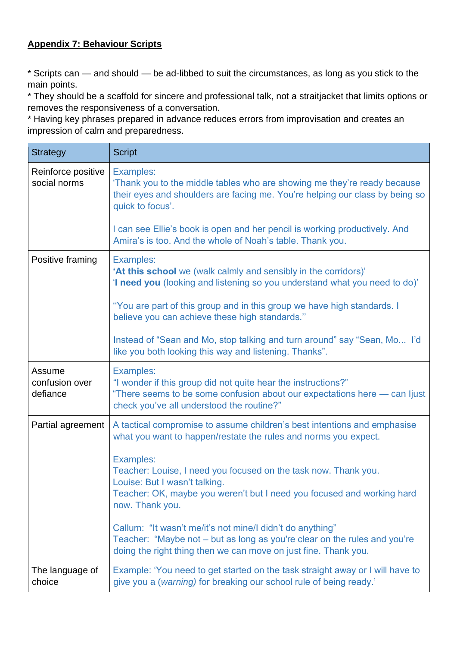## **Appendix 7: Behaviour Scripts**

\* Scripts can — and should — be ad-libbed to suit the circumstances, as long as you stick to the main points.

\* They should be a scaffold for sincere and professional talk, not a straitjacket that limits options or removes the responsiveness of a conversation.

\* Having key phrases prepared in advance reduces errors from improvisation and creates an impression of calm and preparedness.

| <b>Strategy</b>                      | <b>Script</b>                                                                                                                                                                                                     |  |
|--------------------------------------|-------------------------------------------------------------------------------------------------------------------------------------------------------------------------------------------------------------------|--|
| Reinforce positive<br>social norms   | <b>Examples:</b><br>'Thank you to the middle tables who are showing me they're ready because<br>their eyes and shoulders are facing me. You're helping our class by being so<br>quick to focus'.                  |  |
|                                      | I can see Ellie's book is open and her pencil is working productively. And<br>Amira's is too. And the whole of Noah's table. Thank you.                                                                           |  |
| Positive framing                     | <b>Examples:</b><br>'At this school we (walk calmly and sensibly in the corridors)'<br>'I need you (looking and listening so you understand what you need to do)'                                                 |  |
|                                      | "You are part of this group and in this group we have high standards. I<br>believe you can achieve these high standards."                                                                                         |  |
|                                      | Instead of "Sean and Mo, stop talking and turn around" say "Sean, Mo I'd<br>like you both looking this way and listening. Thanks".                                                                                |  |
| Assume<br>confusion over<br>defiance | <b>Examples:</b><br>"I wonder if this group did not quite hear the instructions?"<br>"There seems to be some confusion about our expectations here - can ljust<br>check you've all understood the routine?"       |  |
| Partial agreement                    | A tactical compromise to assume children's best intentions and emphasise<br>what you want to happen/restate the rules and norms you expect.                                                                       |  |
|                                      | <b>Examples:</b><br>Teacher: Louise, I need you focused on the task now. Thank you.<br>Louise: But I wasn't talking.<br>Teacher: OK, maybe you weren't but I need you focused and working hard<br>now. Thank you. |  |
|                                      | Callum: "It wasn't me/it's not mine/I didn't do anything"<br>Teacher: "Maybe not – but as long as you're clear on the rules and you're<br>doing the right thing then we can move on just fine. Thank you.         |  |
| The language of<br>choice            | Example: 'You need to get started on the task straight away or I will have to<br>give you a (warning) for breaking our school rule of being ready.'                                                               |  |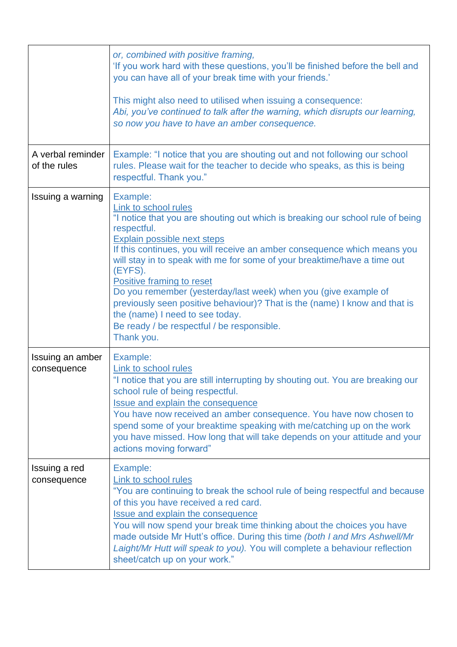|                                   | or, combined with positive framing,<br>'If you work hard with these questions, you'll be finished before the bell and<br>you can have all of your break time with your friends.'<br>This might also need to utilised when issuing a consequence:<br>Abi, you've continued to talk after the warning, which disrupts our learning,<br>so now you have to have an amber consequence.                                                                                                                                                                                                                               |
|-----------------------------------|------------------------------------------------------------------------------------------------------------------------------------------------------------------------------------------------------------------------------------------------------------------------------------------------------------------------------------------------------------------------------------------------------------------------------------------------------------------------------------------------------------------------------------------------------------------------------------------------------------------|
| A verbal reminder<br>of the rules | Example: "I notice that you are shouting out and not following our school<br>rules. Please wait for the teacher to decide who speaks, as this is being<br>respectful. Thank you."                                                                                                                                                                                                                                                                                                                                                                                                                                |
| Issuing a warning                 | Example:<br>Link to school rules<br>"I notice that you are shouting out which is breaking our school rule of being<br>respectful.<br>Explain possible next steps<br>If this continues, you will receive an amber consequence which means you<br>will stay in to speak with me for some of your breaktime/have a time out<br>(EYFS).<br>Positive framing to reset<br>Do you remember (yesterday/last week) when you (give example of<br>previously seen positive behaviour)? That is the (name) I know and that is<br>the (name) I need to see today.<br>Be ready / be respectful / be responsible.<br>Thank you. |
| Issuing an amber<br>consequence   | Example:<br>Link to school rules<br>"I notice that you are still interrupting by shouting out. You are breaking our<br>school rule of being respectful.<br><b>Issue and explain the consequence</b><br>You have now received an amber consequence. You have now chosen to<br>spend some of your breaktime speaking with me/catching up on the work<br>you have missed. How long that will take depends on your attitude and your<br>actions moving forward"                                                                                                                                                      |
| Issuing a red<br>consequence      | Example:<br>Link to school rules<br>"You are continuing to break the school rule of being respectful and because<br>of this you have received a red card.<br><b>Issue and explain the consequence</b><br>You will now spend your break time thinking about the choices you have<br>made outside Mr Hutt's office. During this time (both I and Mrs Ashwell/Mr<br>Laight/Mr Hutt will speak to you). You will complete a behaviour reflection<br>sheet/catch up on your work."                                                                                                                                    |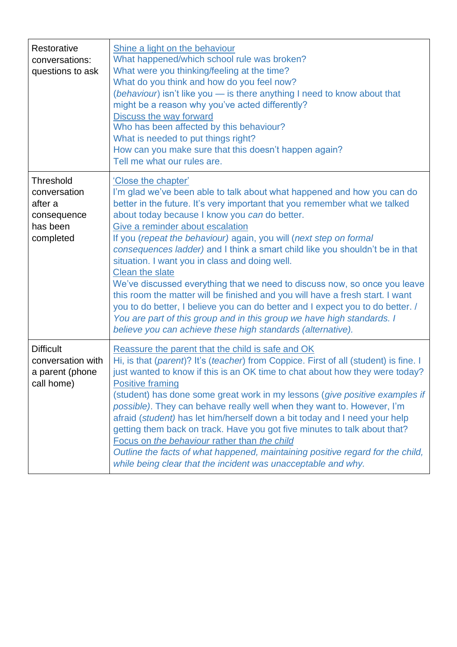| Restorative<br>conversations:<br>questions to ask                      | Shine a light on the behaviour<br>What happened/which school rule was broken?<br>What were you thinking/feeling at the time?<br>What do you think and how do you feel now?<br>(behaviour) isn't like you - is there anything I need to know about that<br>might be a reason why you've acted differently?<br>Discuss the way forward<br>Who has been affected by this behaviour?<br>What is needed to put things right?<br>How can you make sure that this doesn't happen again?<br>Tell me what our rules are.                                                                                                                                                                                                                                                             |  |  |  |
|------------------------------------------------------------------------|-----------------------------------------------------------------------------------------------------------------------------------------------------------------------------------------------------------------------------------------------------------------------------------------------------------------------------------------------------------------------------------------------------------------------------------------------------------------------------------------------------------------------------------------------------------------------------------------------------------------------------------------------------------------------------------------------------------------------------------------------------------------------------|--|--|--|
| <b>Threshold</b>                                                       | 'Close the chapter'                                                                                                                                                                                                                                                                                                                                                                                                                                                                                                                                                                                                                                                                                                                                                         |  |  |  |
| conversation<br>after a                                                | I'm glad we've been able to talk about what happened and how you can do                                                                                                                                                                                                                                                                                                                                                                                                                                                                                                                                                                                                                                                                                                     |  |  |  |
| consequence                                                            | better in the future. It's very important that you remember what we talked<br>about today because I know you can do better.                                                                                                                                                                                                                                                                                                                                                                                                                                                                                                                                                                                                                                                 |  |  |  |
| has been                                                               | Give a reminder about escalation                                                                                                                                                                                                                                                                                                                                                                                                                                                                                                                                                                                                                                                                                                                                            |  |  |  |
| completed                                                              | If you (repeat the behaviour) again, you will (next step on formal<br>consequences ladder) and I think a smart child like you shouldn't be in that<br>situation. I want you in class and doing well.<br><b>Clean the slate</b><br>We've discussed everything that we need to discuss now, so once you leave<br>this room the matter will be finished and you will have a fresh start. I want<br>you to do better, I believe you can do better and I expect you to do better. /<br>You are part of this group and in this group we have high standards. I<br>believe you can achieve these high standards (alternative).                                                                                                                                                     |  |  |  |
| <b>Difficult</b><br>conversation with<br>a parent (phone<br>call home) | Reassure the parent that the child is safe and OK<br>Hi, is that (parent)? It's (teacher) from Coppice. First of all (student) is fine. I<br>just wanted to know if this is an OK time to chat about how they were today?<br><b>Positive framing</b><br>(student) has done some great work in my lessons (give positive examples if<br>possible). They can behave really well when they want to. However, I'm<br>afraid (student) has let him/herself down a bit today and I need your help<br>getting them back on track. Have you got five minutes to talk about that?<br>Focus on the behaviour rather than the child<br>Outline the facts of what happened, maintaining positive regard for the child,<br>while being clear that the incident was unacceptable and why. |  |  |  |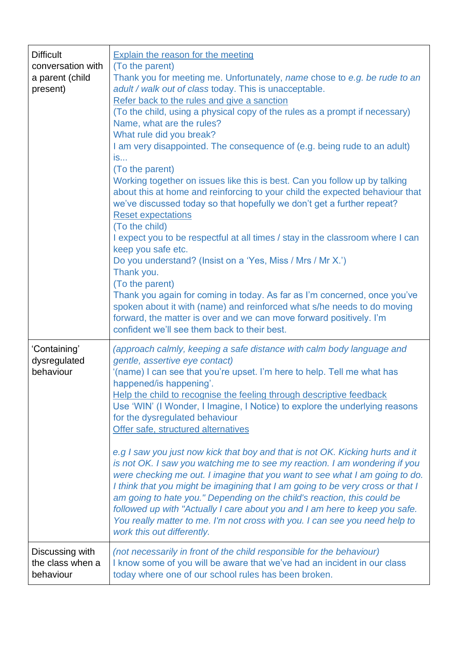| <b>Difficult</b><br>conversation with<br>a parent (child<br>present) | <b>Explain the reason for the meeting</b><br>(To the parent)<br>Thank you for meeting me. Unfortunately, name chose to e.g. be rude to an<br>adult / walk out of class today. This is unacceptable.<br>Refer back to the rules and give a sanction<br>(To the child, using a physical copy of the rules as a prompt if necessary)<br>Name, what are the rules?<br>What rule did you break?<br>I am very disappointed. The consequence of (e.g. being rude to an adult)<br>is<br>(To the parent)<br>Working together on issues like this is best. Can you follow up by talking<br>about this at home and reinforcing to your child the expected behaviour that<br>we've discussed today so that hopefully we don't get a further repeat?<br><b>Reset expectations</b><br>(To the child)<br>I expect you to be respectful at all times / stay in the classroom where I can<br>keep you safe etc.<br>Do you understand? (Insist on a 'Yes, Miss / Mrs / Mr X.')<br>Thank you.<br>(To the parent)<br>Thank you again for coming in today. As far as I'm concerned, once you've<br>spoken about it with (name) and reinforced what s/he needs to do moving<br>forward, the matter is over and we can move forward positively. I'm |
|----------------------------------------------------------------------|------------------------------------------------------------------------------------------------------------------------------------------------------------------------------------------------------------------------------------------------------------------------------------------------------------------------------------------------------------------------------------------------------------------------------------------------------------------------------------------------------------------------------------------------------------------------------------------------------------------------------------------------------------------------------------------------------------------------------------------------------------------------------------------------------------------------------------------------------------------------------------------------------------------------------------------------------------------------------------------------------------------------------------------------------------------------------------------------------------------------------------------------------------------------------------------------------------------------------|
| 'Containing'<br>dysregulated<br>behaviour                            | confident we'll see them back to their best.<br>(approach calmly, keeping a safe distance with calm body language and<br>gentle, assertive eye contact)<br>'(name) I can see that you're upset. I'm here to help. Tell me what has<br>happened/is happening'.<br>Help the child to recognise the feeling through descriptive feedback<br>Use 'WIN' (I Wonder, I Imagine, I Notice) to explore the underlying reasons<br>for the dysregulated behaviour<br>Offer safe, structured alternatives<br>e.g I saw you just now kick that boy and that is not OK. Kicking hurts and it<br>is not OK. I saw you watching me to see my reaction. I am wondering if you<br>were checking me out. I imagine that you want to see what I am going to do.<br>I think that you might be imagining that I am going to be very cross or that I<br>am going to hate you." Depending on the child's reaction, this could be<br>followed up with "Actually I care about you and I am here to keep you safe.<br>You really matter to me. I'm not cross with you. I can see you need help to<br>work this out differently.                                                                                                                         |
| Discussing with<br>the class when a<br>behaviour                     | (not necessarily in front of the child responsible for the behaviour)<br>I know some of you will be aware that we've had an incident in our class<br>today where one of our school rules has been broken.                                                                                                                                                                                                                                                                                                                                                                                                                                                                                                                                                                                                                                                                                                                                                                                                                                                                                                                                                                                                                    |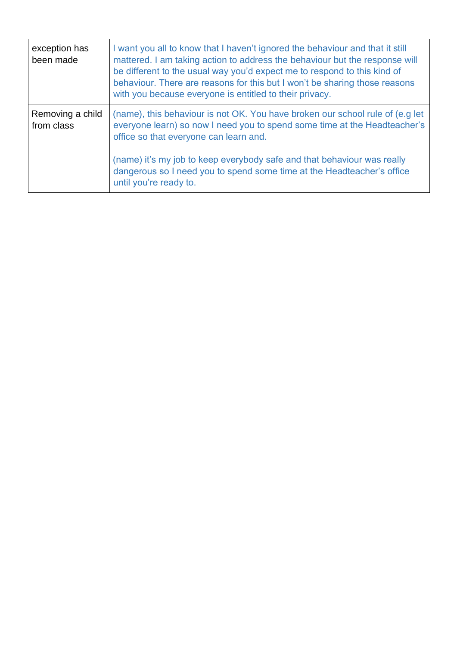| exception has<br>been made     | I want you all to know that I haven't ignored the behaviour and that it still<br>mattered. I am taking action to address the behaviour but the response will<br>be different to the usual way you'd expect me to respond to this kind of<br>behaviour. There are reasons for this but I won't be sharing those reasons<br>with you because everyone is entitled to their privacy.   |
|--------------------------------|-------------------------------------------------------------------------------------------------------------------------------------------------------------------------------------------------------------------------------------------------------------------------------------------------------------------------------------------------------------------------------------|
| Removing a child<br>from class | (name), this behaviour is not OK. You have broken our school rule of (e.g let<br>everyone learn) so now I need you to spend some time at the Headteacher's<br>office so that everyone can learn and.<br>(name) it's my job to keep everybody safe and that behaviour was really<br>dangerous so I need you to spend some time at the Headteacher's office<br>until you're ready to. |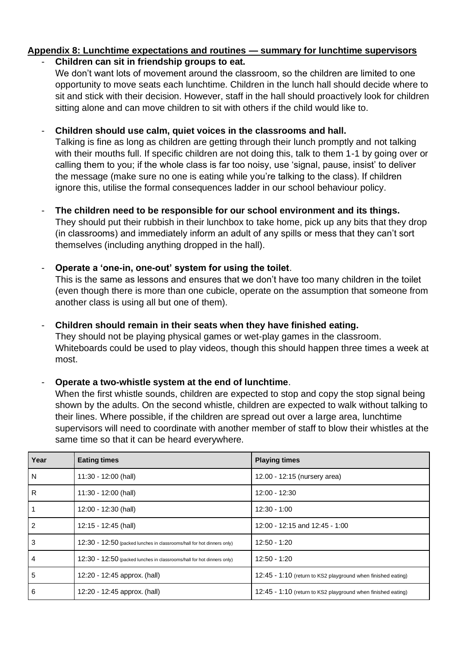# **Appendix 8: Lunchtime expectations and routines — summary for lunchtime supervisors**

## - **Children can sit in friendship groups to eat.**

We don't want lots of movement around the classroom, so the children are limited to one opportunity to move seats each lunchtime. Children in the lunch hall should decide where to sit and stick with their decision. However, staff in the hall should proactively look for children sitting alone and can move children to sit with others if the child would like to.

## - **Children should use calm, quiet voices in the classrooms and hall.**

Talking is fine as long as children are getting through their lunch promptly and not talking with their mouths full. If specific children are not doing this, talk to them 1-1 by going over or calling them to you; if the whole class is far too noisy, use 'signal, pause, insist' to deliver the message (make sure no one is eating while you're talking to the class). If children ignore this, utilise the formal consequences ladder in our school behaviour policy.

# The children need to be responsible for our school environment and its things.

They should put their rubbish in their lunchbox to take home, pick up any bits that they drop (in classrooms) and immediately inform an adult of any spills or mess that they can't sort themselves (including anything dropped in the hall).

## - **Operate a 'one-in, one-out' system for using the toilet**.

This is the same as lessons and ensures that we don't have too many children in the toilet (even though there is more than one cubicle, operate on the assumption that someone from another class is using all but one of them).

#### - **Children should remain in their seats when they have finished eating.**

They should not be playing physical games or wet-play games in the classroom. Whiteboards could be used to play videos, though this should happen three times a week at most.

## - **Operate a two-whistle system at the end of lunchtime**.

When the first whistle sounds, children are expected to stop and copy the stop signal being shown by the adults. On the second whistle, children are expected to walk without talking to their lines. Where possible, if the children are spread out over a large area, lunchtime supervisors will need to coordinate with another member of staff to blow their whistles at the same time so that it can be heard everywhere.

| Year | <b>Eating times</b>                                                    | <b>Playing times</b>                                         |
|------|------------------------------------------------------------------------|--------------------------------------------------------------|
| N    | 11:30 - 12:00 (hall)                                                   | 12.00 - 12:15 (nursery area)                                 |
| R    | 11:30 - 12:00 (hall)                                                   | 12:00 - 12:30                                                |
|      | 12:00 - 12:30 (hall)                                                   | $12:30 - 1:00$                                               |
| 2    | 12:15 - 12:45 (hall)                                                   | 12:00 - 12:15 and 12:45 - 1:00                               |
| 3    | 12:30 - 12:50 (packed lunches in classrooms/hall for hot dinners only) | 12:50 - 1:20                                                 |
| 4    | 12:30 - 12:50 (packed lunches in classrooms/hall for hot dinners only) | 12:50 - 1:20                                                 |
| 5    | 12:20 - 12:45 approx. (hall)                                           | 12:45 - 1:10 (return to KS2 playground when finished eating) |
| 6    | 12:20 - 12:45 approx. (hall)                                           | 12:45 - 1:10 (return to KS2 playground when finished eating) |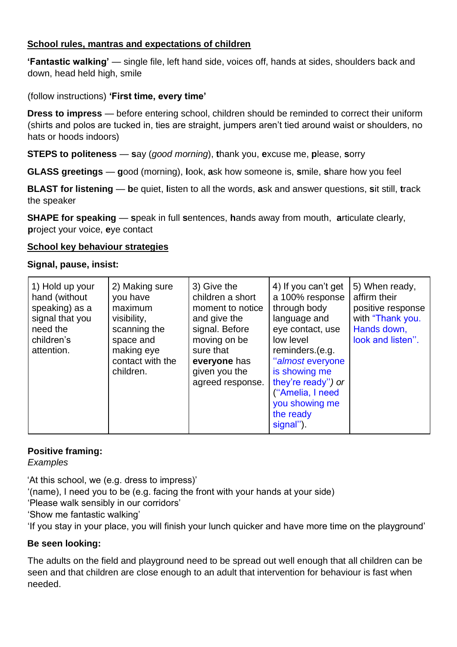#### **School rules, mantras and expectations of children**

**'Fantastic walking'** — single file, left hand side, voices off, hands at sides, shoulders back and down, head held high, smile

(follow instructions) **'First time, every time'**

**Dress to impress** — before entering school, children should be reminded to correct their uniform (shirts and polos are tucked in, ties are straight, jumpers aren't tied around waist or shoulders, no hats or hoods indoors)

**STEPS to politeness** — **s**ay (*good morning*), **t**hank you, **e**xcuse me, **p**lease, **s**orry

**GLASS greetings** — **g**ood (morning), **l**ook, **a**sk how someone is, **s**mile, **s**hare how you feel

**BLAST for listening** — **b**e quiet, **l**isten to all the words, **a**sk and answer questions, **s**it still, **t**rack the speaker

**SHAPE for speaking** — **s**peak in full **s**entences, **h**ands away from mouth, **a**rticulate clearly, **p**roject your voice, **e**ye contact

#### **School key behaviour strategies**

#### **Signal, pause, insist:**

| 3) Give the<br>2) Making sure<br>1) Hold up your<br>children a short<br>hand (without<br>you have<br>speaking) as a<br>maximum<br>signal that you<br>and give the<br>visibility,<br>signal. Before<br>need the<br>scanning the<br>moving on be<br>children's<br>space and<br>making eye<br>sure that<br>attention.<br>contact with the<br>everyone has<br>children.<br>given you the | 4) If you can't get<br>5) When ready,<br>affirm their<br>a 100% response<br>through body<br>positive response<br>moment to notice<br>with "Thank you.<br>language and<br>Hands down,<br>eye contact, use<br>look and listen".<br>low level<br>reminders.(e.g.<br>"almost everyone<br>is showing me<br>they're ready") or<br>agreed response.<br>("Amelia, I need<br>you showing me<br>the ready<br>signal"). |
|--------------------------------------------------------------------------------------------------------------------------------------------------------------------------------------------------------------------------------------------------------------------------------------------------------------------------------------------------------------------------------------|--------------------------------------------------------------------------------------------------------------------------------------------------------------------------------------------------------------------------------------------------------------------------------------------------------------------------------------------------------------------------------------------------------------|
|--------------------------------------------------------------------------------------------------------------------------------------------------------------------------------------------------------------------------------------------------------------------------------------------------------------------------------------------------------------------------------------|--------------------------------------------------------------------------------------------------------------------------------------------------------------------------------------------------------------------------------------------------------------------------------------------------------------------------------------------------------------------------------------------------------------|

## **Positive framing:**

*Examples*

'At this school, we (e.g. dress to impress)' '(name), I need you to be (e.g. facing the front with your hands at your side) 'Please walk sensibly in our corridors' 'Show me fantastic walking'

'If you stay in your place, you will finish your lunch quicker and have more time on the playground'

#### **Be seen looking:**

The adults on the field and playground need to be spread out well enough that all children can be seen and that children are close enough to an adult that intervention for behaviour is fast when needed.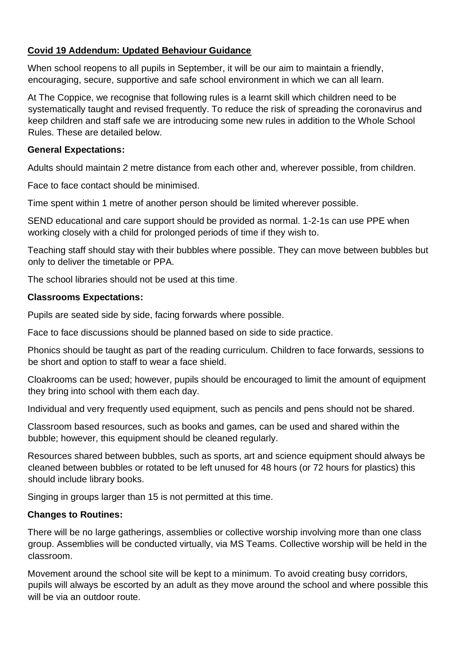#### **Covid 19 Addendum: Updated Behaviour Guidance**

When school reopens to all pupils in September, it will be our aim to maintain a friendly, encouraging, secure, supportive and safe school environment in which we can all learn.

At The Coppice, we recognise that following rules is a learnt skill which children need to be systematically taught and revised frequently. To reduce the risk of spreading the coronavirus and keep children and staff safe we are introducing some new rules in addition to the Whole School Rules. These are detailed below.

#### **General Expectations:**

Adults should maintain 2 metre distance from each other and, wherever possible, from children.

Face to face contact should be minimised.

Time spent within 1 metre of another person should be limited wherever possible.

SEND educational and care support should be provided as normal. 1-2-1s can use PPE when working closely with a child for prolonged periods of time if they wish to.

Teaching staff should stay with their bubbles where possible. They can move between bubbles but only to deliver the timetable or PPA.

The school libraries should not be used at this time.

#### **Classrooms Expectations:**

Pupils are seated side by side, facing forwards where possible.

Face to face discussions should be planned based on side to side practice.

Phonics should be taught as part of the reading curriculum. Children to face forwards, sessions to be short and option to staff to wear a face shield.

Cloakrooms can be used; however, pupils should be encouraged to limit the amount of equipment they bring into school with them each day.

Individual and very frequently used equipment, such as pencils and pens should not be shared.

Classroom based resources, such as books and games, can be used and shared within the bubble; however, this equipment should be cleaned regularly.

Resources shared between bubbles, such as sports, art and science equipment should always be cleaned between bubbles or rotated to be left unused for 48 hours (or 72 hours for plastics) this should include library books.

Singing in groups larger than 15 is not permitted at this time.

#### **Changes to Routines:**

There will be no large gatherings, assemblies or collective worship involving more than one class group. Assemblies will be conducted virtually, via MS Teams. Collective worship will be held in the classroom.

Movement around the school site will be kept to a minimum. To avoid creating busy corridors, pupils will always be escorted by an adult as they move around the school and where possible this will be via an outdoor route.